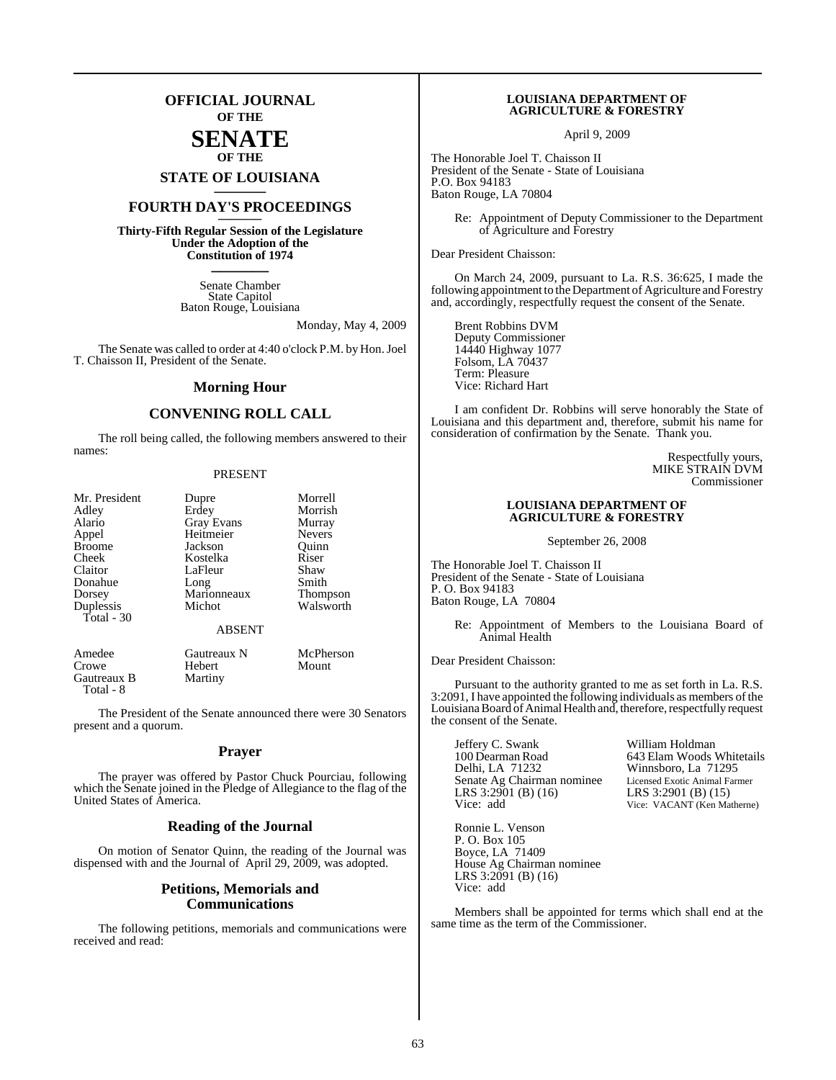## **OFFICIAL JOURNAL OF THE SENATE**

# **OF THE**

# **STATE OF LOUISIANA \_\_\_\_\_\_\_**

## **FOURTH DAY'S PROCEEDINGS \_\_\_\_\_\_\_**

**Thirty-Fifth Regular Session of the Legislature Under the Adoption of the Constitution of 1974 \_\_\_\_\_\_\_**

> Senate Chamber State Capitol Baton Rouge, Louisiana

> > Monday, May 4, 2009

The Senate was called to order at 4:40 o'clock P.M. by Hon. Joel T. Chaisson II, President of the Senate.

### **Morning Hour**

#### **CONVENING ROLL CALL**

The roll being called, the following members answered to their names:

#### PRESENT

| Mr. President<br>Adley<br>Alario<br>Appel<br><b>Broome</b><br>Cheek<br>Claitor<br>Donahue<br>Dorsey | Dupre<br>Erdey<br><b>Gray Evans</b><br>Heitmeier<br>Jackson<br>Kostelka<br>LaFleur<br>Long<br>Marionneaux | Morrell<br>Morrish<br>Murray<br><b>Nevers</b><br>Ouinn<br>Riser<br>Shaw<br>Smith<br><b>Thompson</b> |
|-----------------------------------------------------------------------------------------------------|-----------------------------------------------------------------------------------------------------------|-----------------------------------------------------------------------------------------------------|
| Duplessis<br>Total - 30                                                                             | Michot                                                                                                    | Walsworth                                                                                           |
|                                                                                                     | <b>ABSENT</b>                                                                                             |                                                                                                     |
| Amedee                                                                                              | Gautreaux N                                                                                               | McPherson                                                                                           |

Gautreaux B Total - 8

Crowe Hebert Mount<br>
Gautreaux B Martiny

The President of the Senate announced there were 30 Senators present and a quorum.

#### **Prayer**

The prayer was offered by Pastor Chuck Pourciau, following which the Senate joined in the Pledge of Allegiance to the flag of the United States of America.

#### **Reading of the Journal**

On motion of Senator Quinn, the reading of the Journal was dispensed with and the Journal of April 29, 2009, was adopted.

#### **Petitions, Memorials and Communications**

The following petitions, memorials and communications were received and read:

#### **LOUISIANA DEPARTMENT OF AGRICULTURE & FORESTRY**

April 9, 2009

The Honorable Joel T. Chaisson II President of the Senate - State of Louisiana P.O. Box 94183 Baton Rouge, LA 70804

> Re: Appointment of Deputy Commissioner to the Department of Agriculture and Forestry

Dear President Chaisson:

On March 24, 2009, pursuant to La. R.S. 36:625, I made the following appointment to the Department of Agriculture and Forestry and, accordingly, respectfully request the consent of the Senate.

Brent Robbins DVM Deputy Commissioner 14440 Highway 1077 Folsom, LA 70437 Term: Pleasure Vice: Richard Hart

I am confident Dr. Robbins will serve honorably the State of Louisiana and this department and, therefore, submit his name for consideration of confirmation by the Senate. Thank you.

> Respectfully yours, MIKE STRAIN DVM Commissioner

#### **LOUISIANA DEPARTMENT OF AGRICULTURE & FORESTRY**

September 26, 2008

The Honorable Joel T. Chaisson II President of the Senate - State of Louisiana P. O. Box 94183 Baton Rouge, LA 70804

> Re: Appointment of Members to the Louisiana Board of Animal Health

Dear President Chaisson:

Pursuant to the authority granted to me as set forth in La. R.S. 3:2091, I have appointed the following individuals as members of the Louisiana Board of Animal Health and, therefore, respectfully request the consent of the Senate.

Jeffery C. Swank William Holdman<br>100 Dearman Road 643 Elam Woods 100 Dearman Road 643 Elam Woods Whitetails<br>
Delhi, LA 71232 Winnsboro, La 71295 Senate Ag Chairman nominee<br>
LRS 3:2901 (B) (16)<br>
LRS 3:2901 (B) (15) LRS 3:2901 (B) (16)<br>Vice: add

Winnsboro, La 71295<br>Licensed Exotic Animal Farmer Vice: VACANT (Ken Matherne)

Ronnie L. Venson P. O. Box 105 Boyce, LA 71409 House Ag Chairman nominee LRS 3:2091 (B) (16) Vice: add

Members shall be appointed for terms which shall end at the same time as the term of the Commissioner.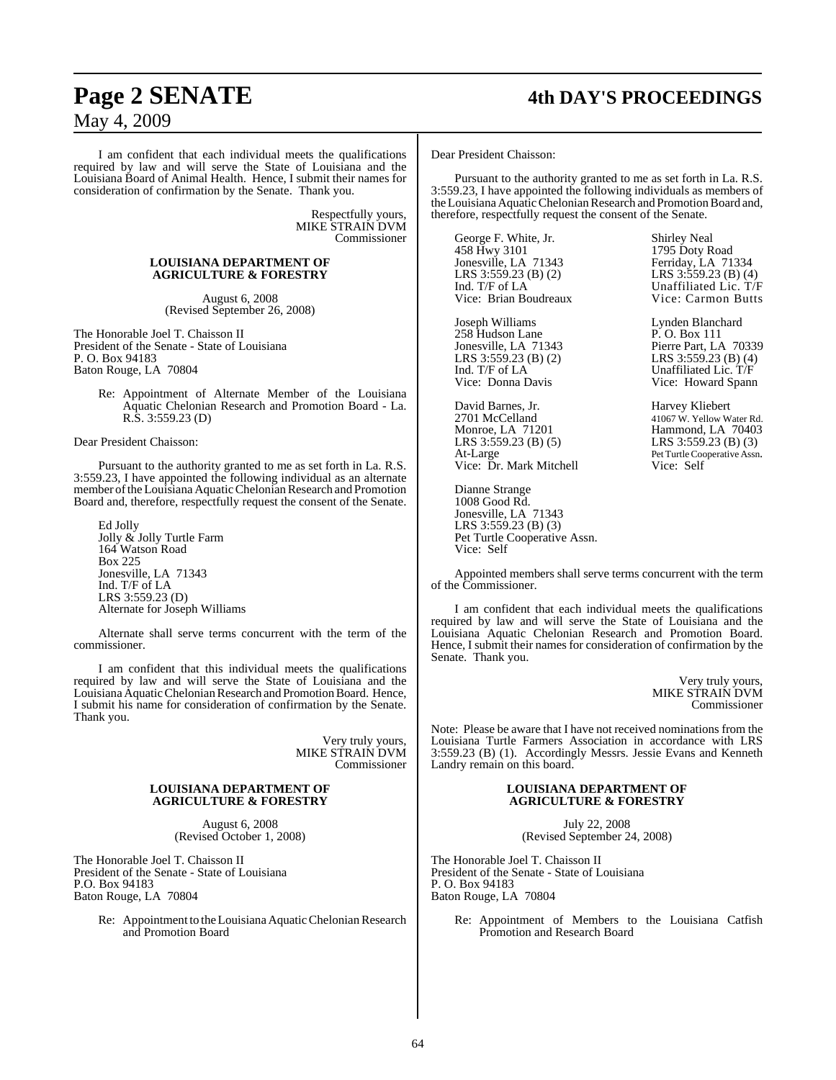# **Page 2 SENATE 4th DAY'S PROCEEDINGS**

May 4, 2009

I am confident that each individual meets the qualifications required by law and will serve the State of Louisiana and the Louisiana Board of Animal Health. Hence, I submit their names for consideration of confirmation by the Senate. Thank you.

> Respectfully yours, MIKE STRAIN DVM Commissioner

#### **LOUISIANA DEPARTMENT OF AGRICULTURE & FORESTRY**

August 6, 2008 (Revised September 26, 2008)

The Honorable Joel T. Chaisson II President of the Senate - State of Louisiana P. O. Box 94183 Baton Rouge, LA 70804

> Re: Appointment of Alternate Member of the Louisiana Aquatic Chelonian Research and Promotion Board - La. R.S. 3:559.23 (D)

Dear President Chaisson:

Pursuant to the authority granted to me as set forth in La. R.S. 3:559.23, I have appointed the following individual as an alternate member of the Louisiana Aquatic Chelonian Research and Promotion Board and, therefore, respectfully request the consent of the Senate.

Ed Jolly Jolly & Jolly Turtle Farm 164 Watson Road Box 225 Jonesville, LA 71343 Ind. T/F of LA LRS 3:559.23 (D) Alternate for Joseph Williams

Alternate shall serve terms concurrent with the term of the commissioner.

I am confident that this individual meets the qualifications required by law and will serve the State of Louisiana and the Louisiana Aquatic Chelonian Research and Promotion Board. Hence, I submit his name for consideration of confirmation by the Senate. Thank you.

> Very truly yours, MIKE STRAIN DVM Commissioner

#### **LOUISIANA DEPARTMENT OF AGRICULTURE & FORESTRY**

August 6, 2008 (Revised October 1, 2008)

The Honorable Joel T. Chaisson II President of the Senate - State of Louisiana P.O. Box 94183 Baton Rouge, LA 70804

> Re: Appointment to the Louisiana Aquatic Chelonian Research and Promotion Board

Dear President Chaisson:

Pursuant to the authority granted to me as set forth in La. R.S. 3:559.23, I have appointed the following individuals as members of the Louisiana Aquatic Chelonian Research and Promotion Board and, therefore, respectfully request the consent of the Senate.

George F. White, Jr. Shirley Neal<br>458 Hwy 3101 1795 Doty R 458 Hwy 3101 1795 Doty Road<br>
Jonesville, LA 71343 Ferriday, LA 71 Jonesville, LA 71343<br>
LRS 3:559.23 (B) (2)<br>
LRS 3:559.23 (B) (4 Ind. T/F of LA Unaffiliated Lic. T/F<br>Vice: Brian Boudreaux Vice: Carmon Butts

Joseph Williams Lynden Blanchard<br>
258 Hudson Lane P.O. Box 111 258 Hudson Lane<br>Jonesville, LA 71343 Jonesville, LA 71343<br>
LRS 3:559.23 (B) (2)<br>
LRS 3:559.23 (B) (4) LRS 3:559.23 (B) (2)<br>Ind. T/F of LA<br>Unaffiliated Lic. T/F Ind. T/F of LA Unaffiliated Lic. T/F<br>Vice: Donna Davis Vice: Howard Spann

David Barnes, Jr. Harvey Kliebert 2701 McCelland 41067 W. Yellow Water Rd.<br>Monroe, LA 71201 Hammond, LA 70403 Monroe, LA 71201 Hammond, LA 70403<br>LRS 3:559.23 (B) (5) LRS 3:559.23 (B) (3) LRS 3:559.23 (B) (5) LRS 3:559.23 (B) (3)<br>At-Large Pet Turtle Cooperative Assn. Vice: Dr. Mark Mitchell Vice: Self

Dianne Strange 1008 Good Rd. Jonesville, LA 71343 LRS 3:559.23 (B) (3) Pet Turtle Cooperative Assn. Vice: Self

LRS 3:559.23 (B) (2) LRS 3:559.23 (B) (4) Vice: Carmon Butts

Vice: Howard Spann

Pet Turtle Cooperative Assn.

Appointed members shall serve terms concurrent with the term of the Commissioner.

I am confident that each individual meets the qualifications required by law and will serve the State of Louisiana and the Louisiana Aquatic Chelonian Research and Promotion Board. Hence, I submit their names for consideration of confirmation by the Senate. Thank you.

> Very truly yours, MIKE STRAIN DVM Commissioner

Note: Please be aware that I have not received nominations from the Louisiana Turtle Farmers Association in accordance with LRS 3:559.23 (B) (1). Accordingly Messrs. Jessie Evans and Kenneth Landry remain on this board.

#### **LOUISIANA DEPARTMENT OF AGRICULTURE & FORESTRY**

July 22, 2008 (Revised September 24, 2008)

The Honorable Joel T. Chaisson II President of the Senate - State of Louisiana P. O. Box 94183 Baton Rouge, LA 70804

> Re: Appointment of Members to the Louisiana Catfish Promotion and Research Board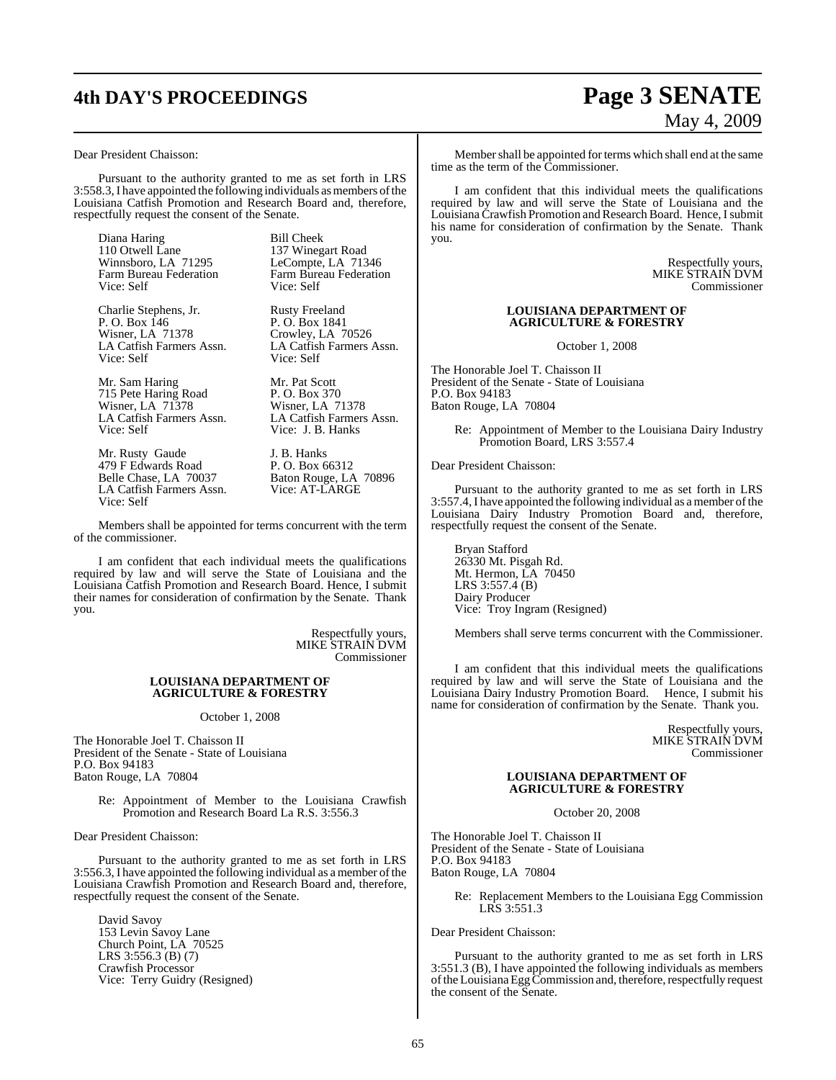# **4th DAY'S PROCEEDINGS Page 3 SENATE**

# May 4, 2009

Dear President Chaisson:

Pursuant to the authority granted to me as set forth in LRS 3:558.3, I have appointed the following individuals as members of the Louisiana Catfish Promotion and Research Board and, therefore, respectfully request the consent of the Senate.

Diana Haring Bill Cheek<br>110 Otwell Lane 137 Wineg Farm Bureau Federation Vice: Self Vice: Self

Charlie Stephens, Jr. Rusty Freeland P. O. Box 146 <br>Wisner, LA 71378 <br>Crowley, LA 70526 LA Catfish Farmers Assn. Vice: Self Vice: Self

Mr. Sam Haring Mr. Pat Scott<br>
715 Pete Haring Road P. O. Box 370 715 Pete Haring Road<br>Wisner, LA 71378<br>Wisner, LA 71378<br>Wisner, LA 71378 LA Catfish Farmers Assn.<br>Vice: Self

Mr. Rusty Gaude J. B. Hanks<br>479 F Edwards Road P. O. Box 66312 479 F Edwards Road<br>Belle Chase, LA 70037 LA Catfish Farmers Assn. Vice: Self

137 Winegart Road<br>LeCompte, LA 71346 Winnsboro, LA 71295 LeCompte, LA 71346<br>Farm Bureau Federation Farm Bureau Federation

Wisner, LA 71378 Crowley, LA 70526<br>LA Catfish Farmers Assn. LA Catfish Farmers Assn.

Wisner, LA 71378 Wisner, LA 71378<br>LA Catfish Farmers Assn. LA Catfish Farmers Assn. Vice: J. B. Hanks

Baton Rouge, LA 70896<br>Vice: AT-LARGE

Members shall be appointed for terms concurrent with the term of the commissioner.

I am confident that each individual meets the qualifications required by law and will serve the State of Louisiana and the Louisiana Catfish Promotion and Research Board. Hence, I submit their names for consideration of confirmation by the Senate. Thank you.

> Respectfully yours, MIKE STRAIN DVM Commissioner

#### **LOUISIANA DEPARTMENT OF AGRICULTURE & FORESTRY**

October 1, 2008

The Honorable Joel T. Chaisson II President of the Senate - State of Louisiana P.O. Box 94183 Baton Rouge, LA 70804

> Re: Appointment of Member to the Louisiana Crawfish Promotion and Research Board La R.S. 3:556.3

Dear President Chaisson:

Pursuant to the authority granted to me as set forth in LRS 3:556.3, I have appointed the following individual as a member of the Louisiana Crawfish Promotion and Research Board and, therefore, respectfully request the consent of the Senate.

David Savoy 153 Levin Savoy Lane Church Point, LA 70525 LRS 3:556.3 (B) (7) Crawfish Processor Vice: Terry Guidry (Resigned)

Member shall be appointed for terms which shall end at the same time as the term of the Commissioner.

I am confident that this individual meets the qualifications required by law and will serve the State of Louisiana and the Louisiana Crawfish Promotion and Research Board. Hence, I submit his name for consideration of confirmation by the Senate. Thank you.

> Respectfully yours, MIKE STRAIN DVM Commissioner

#### **LOUISIANA DEPARTMENT OF AGRICULTURE & FORESTRY**

October 1, 2008

The Honorable Joel T. Chaisson II President of the Senate - State of Louisiana P.O. Box 94183 Baton Rouge, LA 70804

> Re: Appointment of Member to the Louisiana Dairy Industry Promotion Board, LRS 3:557.4

Dear President Chaisson:

Pursuant to the authority granted to me as set forth in LRS 3:557.4, I have appointed the following individual as a member of the Louisiana Dairy Industry Promotion Board and, therefore, respectfully request the consent of the Senate.

Bryan Stafford 26330 Mt. Pisgah Rd. Mt. Hermon, LA 70450 LRS 3:557.4 (B) Dairy Producer Vice: Troy Ingram (Resigned)

Members shall serve terms concurrent with the Commissioner.

I am confident that this individual meets the qualifications required by law and will serve the State of Louisiana and the Louisiana Dairy Industry Promotion Board. Hence, I submit his name for consideration of confirmation by the Senate. Thank you.

> Respectfully yours, MIKE STRAIN DVM Commissioner

#### **LOUISIANA DEPARTMENT OF AGRICULTURE & FORESTRY**

October 20, 2008

The Honorable Joel T. Chaisson II President of the Senate - State of Louisiana P.O. Box 94183 Baton Rouge, LA 70804

Re: Replacement Members to the Louisiana Egg Commission LRS 3:551.3

Dear President Chaisson:

Pursuant to the authority granted to me as set forth in LRS 3:551.3 (B), I have appointed the following individuals as members of the Louisiana Egg Commission and, therefore, respectfully request the consent of the Senate.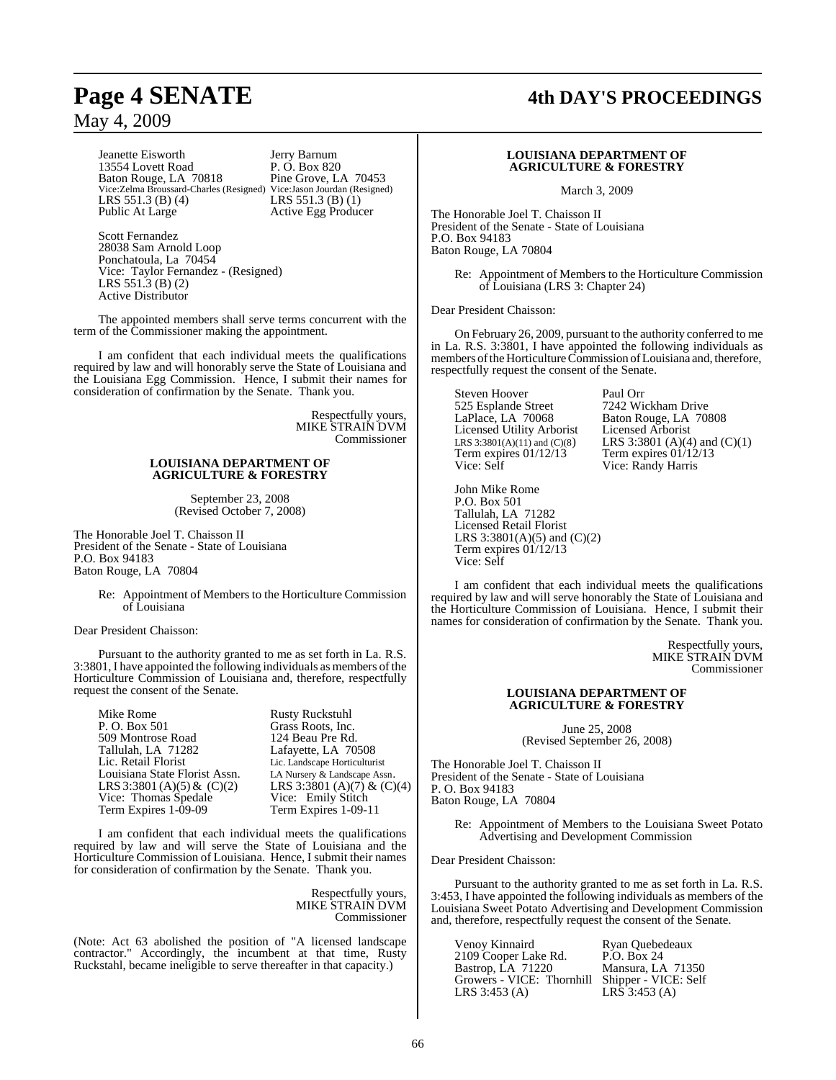Jeanette Eisworth Jerry Barnum 13554 Lovett Road P. O. Box 820<br>Baton Rouge, LA 70818 Pine Grove, LA 70453 Baton Rouge, LA 70818 Pine Grove, LA 70453 Vice:Zelma Broussard-Charles (Resigned) Vice:Jason Jourdan (Resigned) Vice: Zelma Broussard-Charles (Resigned) Vice: Jason Jourdan (Resigned)<br>
LRS 551.3 (B) (4) LRS 551.3 (B) (1)<br>
Public At Large Active Egg Producer

Active Egg Producer

Scott Fernandez 28038 Sam Arnold Loop Ponchatoula, La 70454 Vice: Taylor Fernandez - (Resigned) LRS 551.3 (B) (2) Active Distributor

The appointed members shall serve terms concurrent with the term of the Commissioner making the appointment.

I am confident that each individual meets the qualifications required by law and will honorably serve the State of Louisiana and the Louisiana Egg Commission. Hence, I submit their names for consideration of confirmation by the Senate. Thank you.

> Respectfully yours, MIKE STRAIN DVM Commissioner

#### **LOUISIANA DEPARTMENT OF AGRICULTURE & FORESTRY**

September 23, 2008 (Revised October 7, 2008)

The Honorable Joel T. Chaisson II President of the Senate - State of Louisiana P.O. Box 94183 Baton Rouge, LA 70804

> Re: Appointment of Members to the Horticulture Commission of Louisiana

Dear President Chaisson:

Pursuant to the authority granted to me as set forth in La. R.S. 3:3801, I have appointed the following individuals as members of the Horticulture Commission of Louisiana and, therefore, respectfully request the consent of the Senate.

| <b>Rusty Ruckstuhl</b>        |
|-------------------------------|
| Grass Roots, Inc.             |
| 124 Beau Pre Rd.              |
| Lafayette, LA 70508           |
| Lic. Landscape Horticulturist |
| LA Nursery & Landscape Assn.  |
| LRS 3:3801 (A)(7) & (C)(4)    |
| Vice: Emily Stitch            |
| Term Expires 1-09-11          |
|                               |

I am confident that each individual meets the qualifications required by law and will serve the State of Louisiana and the Horticulture Commission of Louisiana. Hence, I submit their names for consideration of confirmation by the Senate. Thank you.

> Respectfully yours, MIKE STRAIN DVM Commissioner

(Note: Act 63 abolished the position of "A licensed landscape contractor." Accordingly, the incumbent at that time, Rusty Ruckstahl, became ineligible to serve thereafter in that capacity.)

# **Page 4 SENATE 4th DAY'S PROCEEDINGS**

#### **LOUISIANA DEPARTMENT OF AGRICULTURE & FORESTRY**

March 3, 2009

The Honorable Joel T. Chaisson II President of the Senate - State of Louisiana P.O. Box 94183 Baton Rouge, LA 70804

> Re: Appointment of Members to the Horticulture Commission of Louisiana (LRS 3: Chapter 24)

Dear President Chaisson:

On February 26, 2009, pursuant to the authority conferred to me in La. R.S. 3:3801, I have appointed the following individuals as members of the Horticulture Commission of Louisiana and, therefore, respectfully request the consent of the Senate.

Steven Hoover Paul Orr<br>525 Esplande Street 7242 Wie 525 Esplande Street 7242 Wickham Drive<br>LaPlace, LA 70068 Baton Rouge, LA 708 Licensed Utility Arborist<br>LRS  $3:3801(A)(11)$  and  $(C)(8)$ Term expires  $01/12/13$ Vice: Self Vice: Randy Harris

Baton Rouge, LA 70808<br>Licensed Arborist LRS 3:3801 (A)(4) and (C)(1)<br>Term expires  $01/12/13$ 

John Mike Rome P.O. Box 501 Tallulah, LA 71282 Licensed Retail Florist LRS 3:3801(A)(5) and (C)(2) Term expires 01/12/13 Vice: Self

I am confident that each individual meets the qualifications required by law and will serve honorably the State of Louisiana and the Horticulture Commission of Louisiana. Hence, I submit their names for consideration of confirmation by the Senate. Thank you.

> Respectfully yours, MIKE STRAIN DVM Commissioner

#### **LOUISIANA DEPARTMENT OF AGRICULTURE & FORESTRY**

June 25, 2008 (Revised September 26, 2008)

The Honorable Joel T. Chaisson II President of the Senate - State of Louisiana P. O. Box 94183 Baton Rouge, LA 70804

Re: Appointment of Members to the Louisiana Sweet Potato Advertising and Development Commission

Dear President Chaisson:

Pursuant to the authority granted to me as set forth in La. R.S. 3:453, I have appointed the following individuals as members of the Louisiana Sweet Potato Advertising and Development Commission and, therefore, respectfully request the consent of the Senate.

| Venoy Kinnaird            | Ryan Quebedeaux            |
|---------------------------|----------------------------|
| 2109 Cooper Lake Rd.      | P.O. Box 24                |
| Bastrop, LA 71220         | Mansura, LA 71350          |
| Growers - VICE: Thornhill | Shipper - VICE: Self       |
| LRS $3:453(A)$            | $LR\overline{S}$ 3:453 (A) |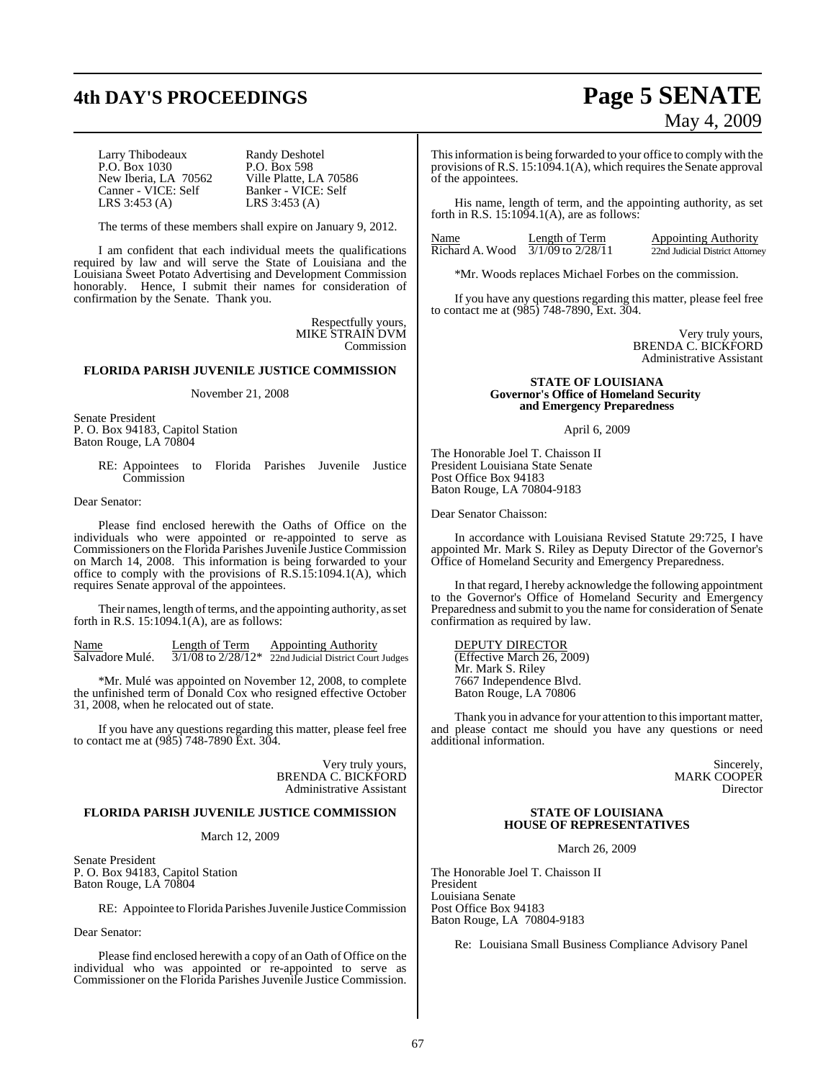# **4th DAY'S PROCEEDINGS Page 5 SENATE**

Larry Thibodeaux Randy Deshotel<br>
P.O. Box 1030 P.O. Box 598 P.O. Box 1030 P.O. Box 598<br>New Iberia, LA 70562 Ville Platte, LA 70586 New Iberia, LA 70562<br>Canner - VICE: Self Canner - VICE: Self Banker - VICE: Self<br>LRS 3:453 (A) LRS 3:453 (A)

LRS 3:453 (A) LRS 3:453 (A)

The terms of these members shall expire on January 9, 2012.

I am confident that each individual meets the qualifications required by law and will serve the State of Louisiana and the Louisiana Sweet Potato Advertising and Development Commission honorably. Hence, I submit their names for consideration of confirmation by the Senate. Thank you.

> Respectfully yours, MIKE STRAIN DVM Commission

#### **FLORIDA PARISH JUVENILE JUSTICE COMMISSION**

#### November 21, 2008

Senate President P. O. Box 94183, Capitol Station Baton Rouge, LA 70804

> RE: Appointees to Florida Parishes Juvenile Justice **Commission**

Dear Senator:

Please find enclosed herewith the Oaths of Office on the individuals who were appointed or re-appointed to serve as Commissioners on the Florida Parishes Juvenile Justice Commission on March 14, 2008. This information is being forwarded to your office to comply with the provisions of R.S.15:1094.1(A), which requires Senate approval of the appointees.

Their names, length of terms, and the appointing authority, as set forth in R.S.  $15:1094.1(A)$ , are as follows:

Name Length of Term Appointing Authority<br>Salvadore Mulé.  $\frac{3}{1/08}$  to  $\frac{2}{28/12*}$   $\frac{2}{2}$  and Judicial District Court  $\frac{3}{1/08}$  to  $\frac{2}{28/12}$   $\frac{2}{22}$   $\frac{1}{22}$  Judicial District Court Judges

\*Mr. Mulé was appointed on November 12, 2008, to complete the unfinished term of Donald Cox who resigned effective October 31, 2008, when he relocated out of state.

If you have any questions regarding this matter, please feel free to contact me at (985) 748-7890 Ext. 304.

> Very truly yours, BRENDA C. BICKFORD Administrative Assistant

#### **FLORIDA PARISH JUVENILE JUSTICE COMMISSION**

March 12, 2009

Senate President P. O. Box 94183, Capitol Station Baton Rouge, LA 70804

RE: Appointee to Florida Parishes Juvenile Justice Commission

#### Dear Senator:

Please find enclosed herewith a copy of an Oath of Office on the individual who was appointed or re-appointed to serve as Commissioner on the Florida Parishes Juvenile Justice Commission.

# May 4, 2009

This information is being forwarded to your office to comply with the provisions of R.S.  $15:1094.1(A)$ , which requires the Senate approval of the appointees.

His name, length of term, and the appointing authority, as set forth in R.S.  $15:10\overline{9}4.1(A)$ , are as follows:

| Name            | Length of Term        | <b>Appointing Authority</b>     |
|-----------------|-----------------------|---------------------------------|
| Richard A. Wood | $3/1/09$ to $2/28/11$ | 22nd Judicial District Attorney |

\*Mr. Woods replaces Michael Forbes on the commission.

If you have any questions regarding this matter, please feel free to contact me at (985) 748-7890, Ext. 304.

> Very truly yours, BRENDA C. BICKFORD Administrative Assistant

#### **STATE OF LOUISIANA Governor's Office of Homeland Security and Emergency Preparedness**

April 6, 2009

The Honorable Joel T. Chaisson II President Louisiana State Senate Post Office Box 94183 Baton Rouge, LA 70804-9183

Dear Senator Chaisson:

In accordance with Louisiana Revised Statute 29:725, I have appointed Mr. Mark S. Riley as Deputy Director of the Governor's Office of Homeland Security and Emergency Preparedness.

In that regard, I hereby acknowledge the following appointment to the Governor's Office of Homeland Security and Emergency Preparedness and submit to you the name for consideration of Senate confirmation as required by law.

DEPUTY DIRECTOR (Effective March 26, 2009) Mr. Mark S. Riley 7667 Independence Blvd. Baton Rouge, LA 70806

Thank you in advance for your attention to this important matter, and please contact me should you have any questions or need additional information.

> Sincerely, MARK COOPER Director

#### **STATE OF LOUISIANA HOUSE OF REPRESENTATIVES**

March 26, 2009

The Honorable Joel T. Chaisson II President Louisiana Senate Post Office Box 94183 Baton Rouge, LA 70804-9183

Re: Louisiana Small Business Compliance Advisory Panel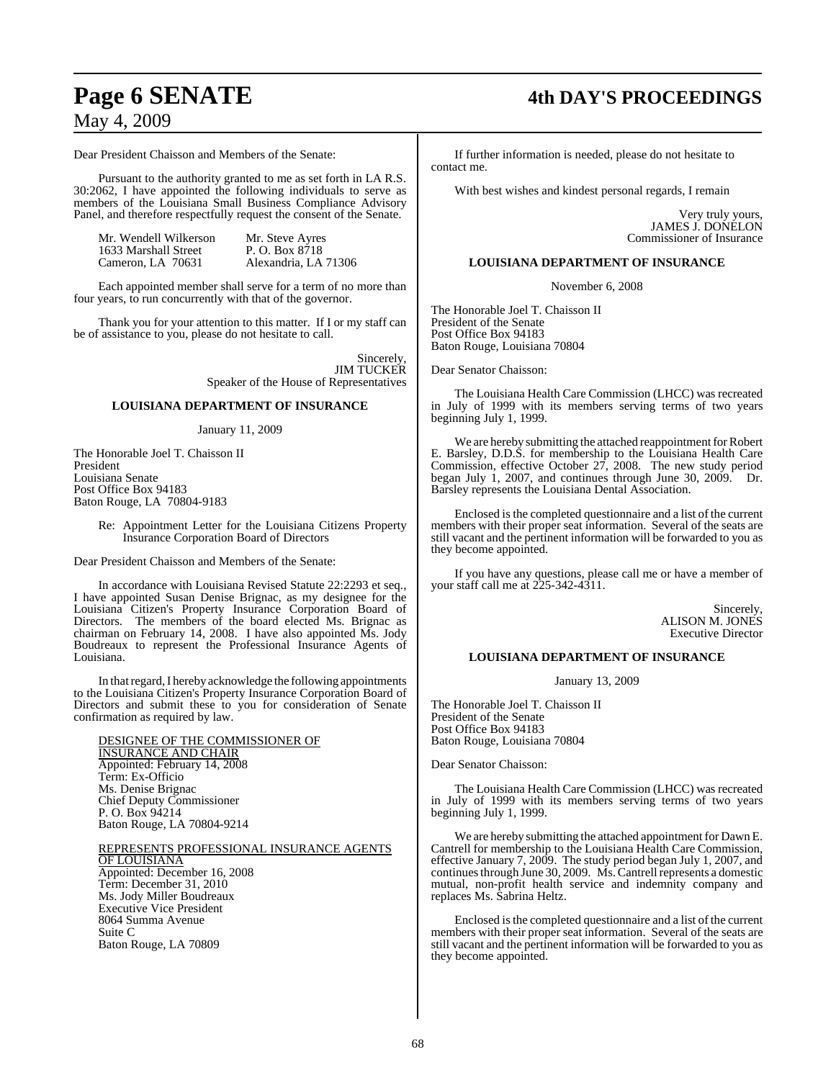#### Dear President Chaisson and Members of the Senate:

Pursuant to the authority granted to me as set forth in LA R.S. 30:2062, I have appointed the following individuals to serve as members of the Louisiana Small Business Compliance Advisory Panel, and therefore respectfully request the consent of the Senate.

| Mr. Wendell Wilkerson | Mr. Steve Ayres      |
|-----------------------|----------------------|
| 1633 Marshall Street  | P. O. Box 8718       |
| Cameron, LA 70631     | Alexandria, LA 71306 |

Each appointed member shall serve for a term of no more than four years, to run concurrently with that of the governor.

Thank you for your attention to this matter. If I or my staff can be of assistance to you, please do not hesitate to call.

> Sincerely, JIM TUCKER Speaker of the House of Representatives

#### **LOUISIANA DEPARTMENT OF INSURANCE**

#### January 11, 2009

The Honorable Joel T. Chaisson II President Louisiana Senate Post Office Box 94183 Baton Rouge, LA 70804-9183

> Re: Appointment Letter for the Louisiana Citizens Property Insurance Corporation Board of Directors

Dear President Chaisson and Members of the Senate:

In accordance with Louisiana Revised Statute 22:2293 et seq., I have appointed Susan Denise Brignac, as my designee for the Louisiana Citizen's Property Insurance Corporation Board of Directors. The members of the board elected Ms. Brignac as chairman on February 14, 2008. I have also appointed Ms. Jody Boudreaux to represent the Professional Insurance Agents of Louisiana.

In that regard, I hereby acknowledge the following appointments to the Louisiana Citizen's Property Insurance Corporation Board of Directors and submit these to you for consideration of Senate confirmation as required by law.

DESIGNEE OF THE COMMISSIONER OF INSURANCE AND CHAIR Appointed: February 14, 2008 Term: Ex-Officio Ms. Denise Brignac Chief Deputy Commissioner P. O. Box 94214 Baton Rouge, LA 70804-9214

REPRESENTS PROFESSIONAL INSURANCE AGENTS OF LOUISIANA Appointed: December 16, 2008 Term: December 31, 2010 Ms. Jody Miller Boudreaux Executive Vice President 8064 Summa Avenue Suite C Baton Rouge, LA 70809

# **Page 6 SENATE 4th DAY'S PROCEEDINGS**

If further information is needed, please do not hesitate to contact me.

With best wishes and kindest personal regards, I remain

Very truly yours, JAMES J. DONELON Commissioner of Insurance

#### **LOUISIANA DEPARTMENT OF INSURANCE**

November 6, 2008

The Honorable Joel T. Chaisson II President of the Senate Post Office Box 94183 Baton Rouge, Louisiana 70804

Dear Senator Chaisson:

The Louisiana Health Care Commission (LHCC) was recreated in July of 1999 with its members serving terms of two years beginning July 1, 1999.

We are hereby submitting the attached reappointment for Robert E. Barsley, D.D.S. for membership to the Louisiana Health Care Commission, effective October 27, 2008. The new study period began July 1, 2007, and continues through June 30, 2009. Dr. Barsley represents the Louisiana Dental Association.

Enclosed is the completed questionnaire and a list of the current members with their proper seat information. Several of the seats are still vacant and the pertinent information will be forwarded to you as they become appointed.

If you have any questions, please call me or have a member of your staff call me at 225-342-4311.

> Sincerely, ALISON M. JONES Executive Director

#### **LOUISIANA DEPARTMENT OF INSURANCE**

January 13, 2009

The Honorable Joel T. Chaisson II President of the Senate Post Office Box 94183 Baton Rouge, Louisiana 70804

Dear Senator Chaisson:

The Louisiana Health Care Commission (LHCC) was recreated in July of 1999 with its members serving terms of two years beginning July 1, 1999.

We are hereby submitting the attached appointment for Dawn E. Cantrell for membership to the Louisiana Health Care Commission, effective January 7, 2009. The study period began July 1, 2007, and continuesthrough June 30, 2009. Ms. Cantrell represents a domestic mutual, non-profit health service and indemnity company and replaces Ms. Sabrina Heltz.

Enclosed isthe completed questionnaire and a list of the current members with their proper seat information. Several of the seats are still vacant and the pertinent information will be forwarded to you as they become appointed.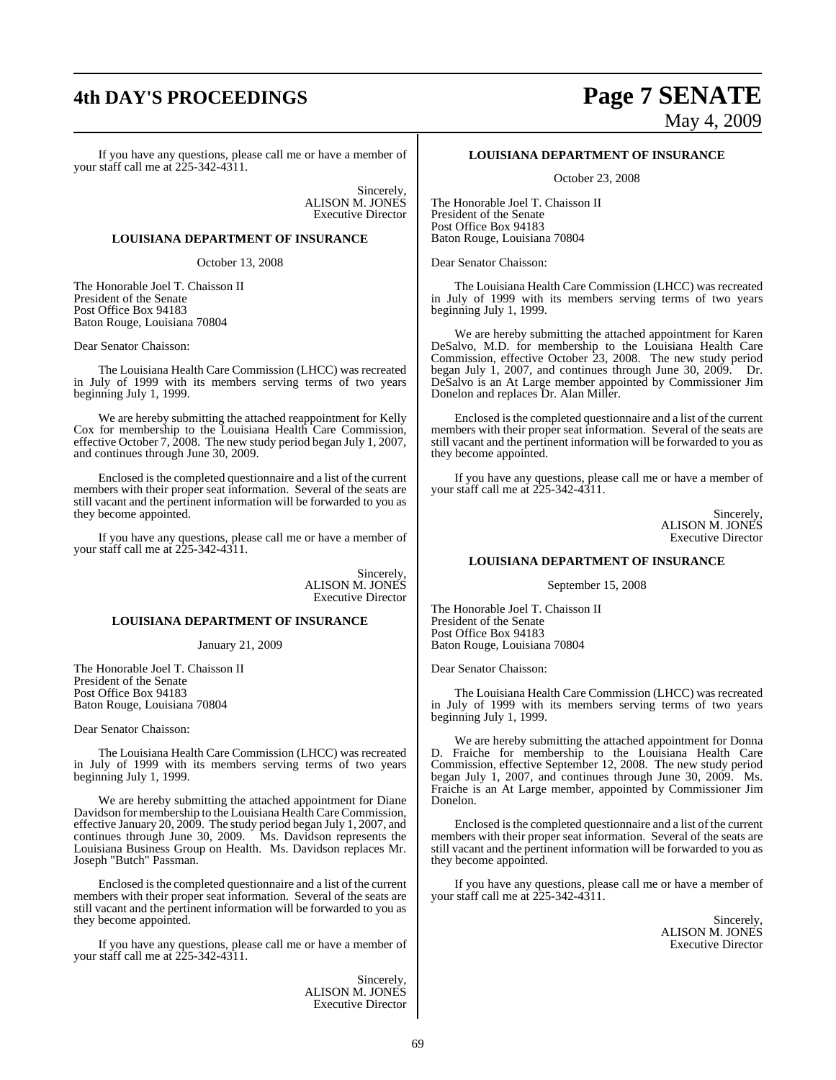# **4th DAY'S PROCEEDINGS Page 7 SENATE**

# May 4, 2009

If you have any questions, please call me or have a member of your staff call me at 225-342-4311.

> Sincerely, ALISON M. JONES Executive Director

#### **LOUISIANA DEPARTMENT OF INSURANCE**

October 13, 2008

The Honorable Joel T. Chaisson II President of the Senate Post Office Box 94183 Baton Rouge, Louisiana 70804

Dear Senator Chaisson:

The Louisiana Health Care Commission (LHCC) was recreated in July of 1999 with its members serving terms of two years beginning July 1, 1999.

We are hereby submitting the attached reappointment for Kelly Cox for membership to the Louisiana Health Care Commission, effective October 7, 2008. The new study period began July 1, 2007, and continues through June 30, 2009.

Enclosed is the completed questionnaire and a list of the current members with their proper seat information. Several of the seats are still vacant and the pertinent information will be forwarded to you as they become appointed.

If you have any questions, please call me or have a member of your staff call me at 225-342-4311.

> Sincerely, ALISON M. JONES Executive Director

#### **LOUISIANA DEPARTMENT OF INSURANCE**

January 21, 2009

The Honorable Joel T. Chaisson II President of the Senate Post Office Box 94183 Baton Rouge, Louisiana 70804

#### Dear Senator Chaisson:

The Louisiana Health Care Commission (LHCC) was recreated in July of 1999 with its members serving terms of two years beginning July 1, 1999.

We are hereby submitting the attached appointment for Diane Davidson for membership to the Louisiana Health CareCommission, effective January 20, 2009. The study period began July 1, 2007, and continues through June 30, 2009. Ms. Davidson represents the Louisiana Business Group on Health. Ms. Davidson replaces Mr. Joseph "Butch" Passman.

Enclosed isthe completed questionnaire and a list of the current members with their proper seat information. Several of the seats are still vacant and the pertinent information will be forwarded to you as they become appointed.

If you have any questions, please call me or have a member of your staff call me at 225-342-4311.

> **Sincerely** ALISON M. JONES Executive Director

#### **LOUISIANA DEPARTMENT OF INSURANCE**

October 23, 2008

The Honorable Joel T. Chaisson II President of the Senate Post Office Box 94183 Baton Rouge, Louisiana 70804

Dear Senator Chaisson:

The Louisiana Health Care Commission (LHCC) was recreated in July of 1999 with its members serving terms of two years beginning July 1, 1999.

We are hereby submitting the attached appointment for Karen DeSalvo, M.D. for membership to the Louisiana Health Care Commission, effective October 23, 2008. The new study period began July 1, 2007, and continues through June 30, 2009. Dr. DeSalvo is an At Large member appointed by Commissioner Jim Donelon and replaces Dr. Alan Miller.

Enclosed isthe completed questionnaire and a list of the current members with their proper seat information. Several of the seats are still vacant and the pertinent information will be forwarded to you as they become appointed.

If you have any questions, please call me or have a member of your staff call me at 225-342-4311.

> Sincerely, ALISON M. JONES Executive Director

#### **LOUISIANA DEPARTMENT OF INSURANCE**

September 15, 2008

The Honorable Joel T. Chaisson II President of the Senate Post Office Box 94183 Baton Rouge, Louisiana 70804

Dear Senator Chaisson:

The Louisiana Health Care Commission (LHCC) was recreated in July of 1999 with its members serving terms of two years beginning July 1, 1999.

We are hereby submitting the attached appointment for Donna D. Fraiche for membership to the Louisiana Health Care Commission, effective September 12, 2008. The new study period began July 1, 2007, and continues through June 30, 2009. Ms. Fraiche is an At Large member, appointed by Commissioner Jim Donelon.

Enclosed is the completed questionnaire and a list of the current members with their proper seat information. Several of the seats are still vacant and the pertinent information will be forwarded to you as they become appointed.

If you have any questions, please call me or have a member of your staff call me at 225-342-4311.

> Sincerely, ALISON M. JONES Executive Director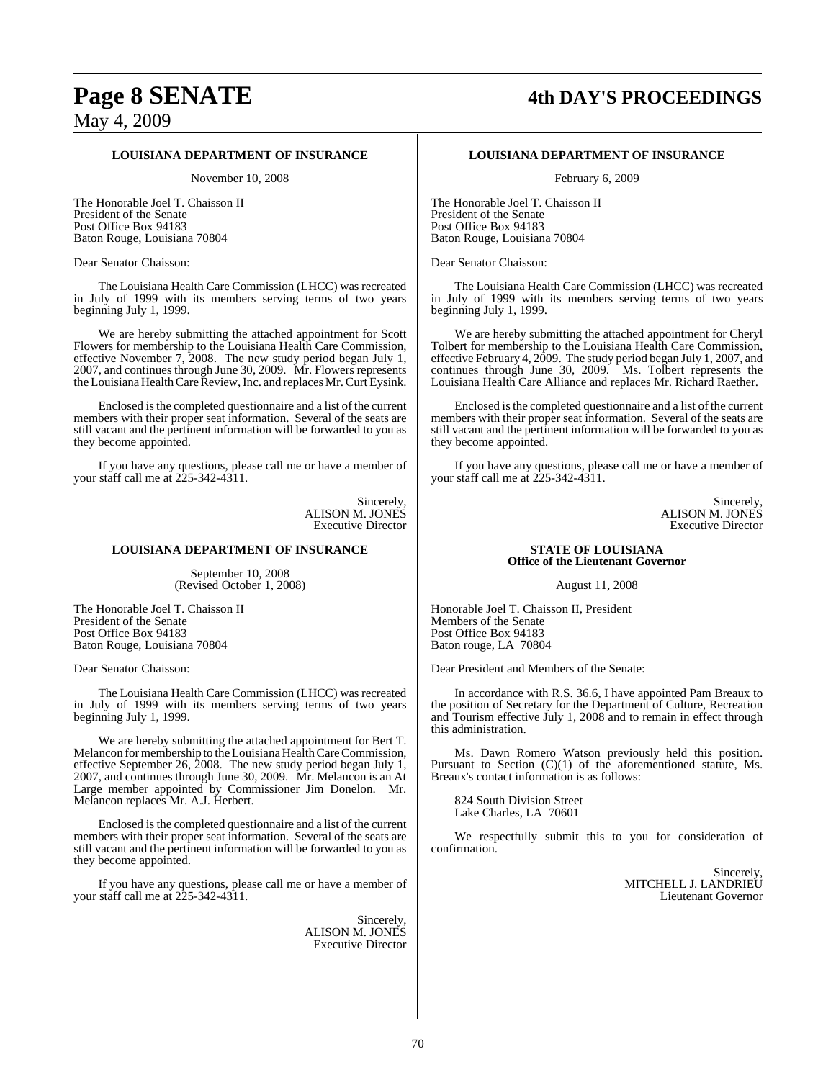# **Page 8 SENATE 4th DAY'S PROCEEDINGS**

May 4, 2009

#### **LOUISIANA DEPARTMENT OF INSURANCE**

November 10, 2008

The Honorable Joel T. Chaisson II President of the Senate Post Office Box 94183 Baton Rouge, Louisiana 70804

Dear Senator Chaisson:

The Louisiana Health Care Commission (LHCC) was recreated in July of 1999 with its members serving terms of two years beginning July 1, 1999.

We are hereby submitting the attached appointment for Scott Flowers for membership to the Louisiana Health Care Commission, effective November 7, 2008. The new study period began July 1, 2007, and continues through June 30, 2009. Mr. Flowers represents the Louisiana Health Care Review, Inc. and replaces Mr. Curt Eysink.

Enclosed isthe completed questionnaire and a list of the current members with their proper seat information. Several of the seats are still vacant and the pertinent information will be forwarded to you as they become appointed.

If you have any questions, please call me or have a member of your staff call me at 225-342-4311.

> Sincerely, ALISON M. JONES Executive Director

#### **LOUISIANA DEPARTMENT OF INSURANCE**

September 10, 2008 (Revised October 1, 2008)

The Honorable Joel T. Chaisson II President of the Senate Post Office Box 94183 Baton Rouge, Louisiana 70804

Dear Senator Chaisson:

The Louisiana Health Care Commission (LHCC) was recreated in July of 1999 with its members serving terms of two years beginning July 1, 1999.

We are hereby submitting the attached appointment for Bert T. Melancon for membership to the Louisiana Health Care Commission, effective September 26, 2008. The new study period began July 1, 2007, and continues through June 30, 2009. Mr. Melancon is an At Large member appointed by Commissioner Jim Donelon. Mr. Melancon replaces Mr. A.J. Herbert.

Enclosed is the completed questionnaire and a list of the current members with their proper seat information. Several of the seats are still vacant and the pertinent information will be forwarded to you as they become appointed.

If you have any questions, please call me or have a member of your staff call me at 225-342-4311.

> Sincerely, ALISON M. JONES Executive Director

#### **LOUISIANA DEPARTMENT OF INSURANCE**

February 6, 2009

The Honorable Joel T. Chaisson II President of the Senate Post Office Box 94183 Baton Rouge, Louisiana 70804

Dear Senator Chaisson:

The Louisiana Health Care Commission (LHCC) was recreated in July of 1999 with its members serving terms of two years beginning July 1, 1999.

We are hereby submitting the attached appointment for Cheryl Tolbert for membership to the Louisiana Health Care Commission, effective February 4, 2009. The study period began July 1, 2007, and continues through June 30, 2009. Ms. Tolbert represents the Louisiana Health Care Alliance and replaces Mr. Richard Raether.

Enclosed isthe completed questionnaire and a list of the current members with their proper seat information. Several of the seats are still vacant and the pertinent information will be forwarded to you as they become appointed.

If you have any questions, please call me or have a member of your staff call me at 225-342-4311.

> Sincerely, ALISON M. JONES Executive Director

#### **STATE OF LOUISIANA Office of the Lieutenant Governor**

August 11, 2008

Honorable Joel T. Chaisson II, President Members of the Senate Post Office Box 94183 Baton rouge, LA 70804

Dear President and Members of the Senate:

In accordance with R.S. 36.6, I have appointed Pam Breaux to the position of Secretary for the Department of Culture, Recreation and Tourism effective July 1, 2008 and to remain in effect through this administration.

Ms. Dawn Romero Watson previously held this position. Pursuant to Section (C)(1) of the aforementioned statute, Ms. Breaux's contact information is as follows:

824 South Division Street Lake Charles, LA 70601

We respectfully submit this to you for consideration of confirmation.

> Sincerely, MITCHELL J. LANDRIEU Lieutenant Governor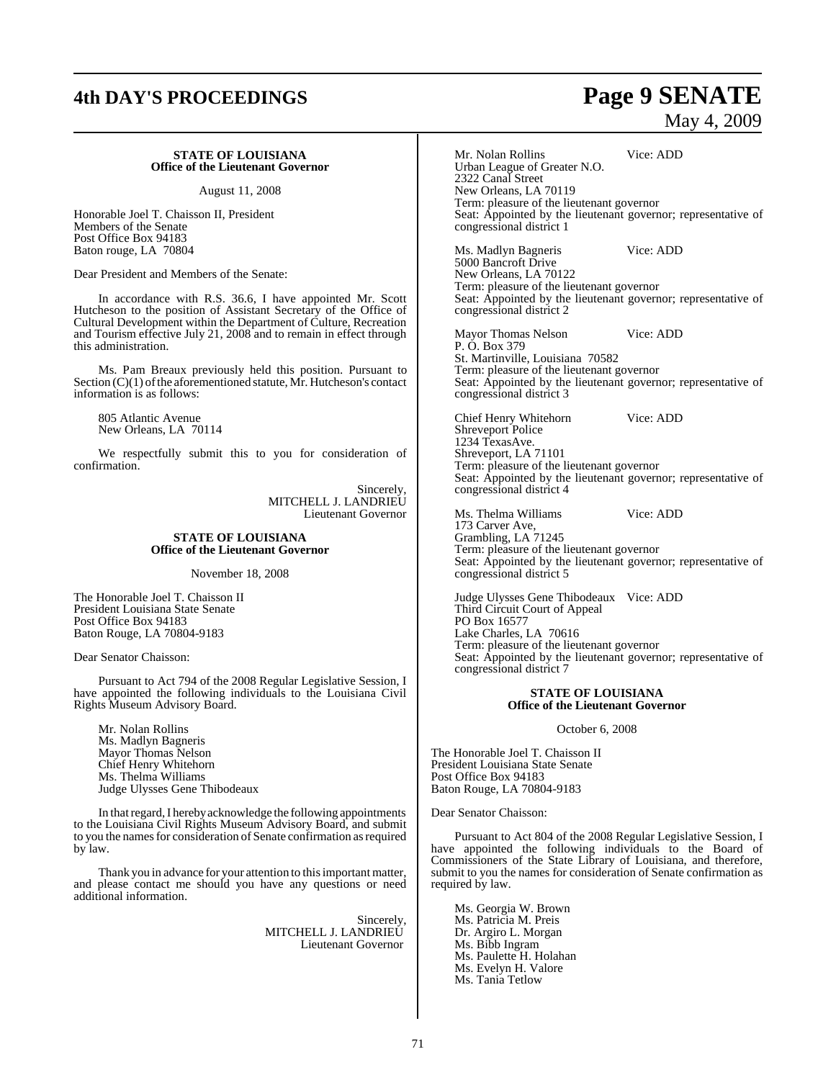# **4th DAY'S PROCEEDINGS Page 9 SENATE**

#### **STATE OF LOUISIANA Office of the Lieutenant Governor**

August 11, 2008

Honorable Joel T. Chaisson II, President Members of the Senate Post Office Box 94183 Baton rouge, LA 70804

Dear President and Members of the Senate:

In accordance with R.S. 36.6, I have appointed Mr. Scott Hutcheson to the position of Assistant Secretary of the Office of Cultural Development within the Department of Culture, Recreation and Tourism effective July 21, 2008 and to remain in effect through this administration.

Ms. Pam Breaux previously held this position. Pursuant to Section  $(C)(1)$  of the aforementioned statute, Mr. Hutcheson's contact information is as follows:

805 Atlantic Avenue New Orleans, LA 70114

We respectfully submit this to you for consideration of confirmation.

> Sincerely, MITCHELL J. LANDRIEU Lieutenant Governor

#### **STATE OF LOUISIANA Office of the Lieutenant Governor**

November 18, 2008

The Honorable Joel T. Chaisson II President Louisiana State Senate Post Office Box 94183 Baton Rouge, LA 70804-9183

Dear Senator Chaisson:

Pursuant to Act 794 of the 2008 Regular Legislative Session, I have appointed the following individuals to the Louisiana Civil Rights Museum Advisory Board.

Mr. Nolan Rollins Ms. Madlyn Bagneris Mayor Thomas Nelson Chief Henry Whitehorn Ms. Thelma Williams Judge Ulysses Gene Thibodeaux

In that regard, I hereby acknowledge the following appointments to the Louisiana Civil Rights Museum Advisory Board, and submit to you the names for consideration of Senate confirmation as required by law.

Thank you in advance for your attention to this important matter, and please contact me should you have any questions or need additional information.

> Sincerely, MITCHELL J. LANDRIEU Lieutenant Governor

# May 4, 2009

Mr. Nolan Rollins Vice: ADD Urban League of Greater N.O. 2322 Canal Street New Orleans, LA 70119 Term: pleasure of the lieutenant governor Seat: Appointed by the lieutenant governor; representative of congressional district 1

Ms. Madlyn Bagneris Vice: ADD 5000 Bancroft Drive New Orleans, LA 70122 Term: pleasure of the lieutenant governor Seat: Appointed by the lieutenant governor; representative of congressional district 2

Mayor Thomas Nelson Vice: ADD P. O. Box 379 St. Martinville, Louisiana 70582 Term: pleasure of the lieutenant governor Seat: Appointed by the lieutenant governor; representative of congressional district 3

Chief Henry Whitehorn Vice: ADD Shreveport Police 1234 TexasAve. Shreveport, LA 71101 Term: pleasure of the lieutenant governor Seat: Appointed by the lieutenant governor; representative of congressional district 4

Ms. Thelma Williams Vice: ADD 173 Carver Ave, Grambling, LA 71245 Term: pleasure of the lieutenant governor Seat: Appointed by the lieutenant governor; representative of congressional district 5

Judge Ulysses Gene Thibodeaux Vice: ADD Third Circuit Court of Appeal PO Box 16577 Lake Charles, LA 70616 Term: pleasure of the lieutenant governor Seat: Appointed by the lieutenant governor; representative of congressional district 7

#### **STATE OF LOUISIANA Office of the Lieutenant Governor**

October 6, 2008

The Honorable Joel T. Chaisson II President Louisiana State Senate Post Office Box 94183 Baton Rouge, LA 70804-9183

Dear Senator Chaisson:

Pursuant to Act 804 of the 2008 Regular Legislative Session, I have appointed the following individuals to the Board of Commissioners of the State Library of Louisiana, and therefore, submit to you the names for consideration of Senate confirmation as required by law.

Ms. Georgia W. Brown Ms. Patricia M. Preis Dr. Argiro L. Morgan Ms. Bibb Ingram Ms. Paulette H. Holahan Ms. Evelyn H. Valore Ms. Tania Tetlow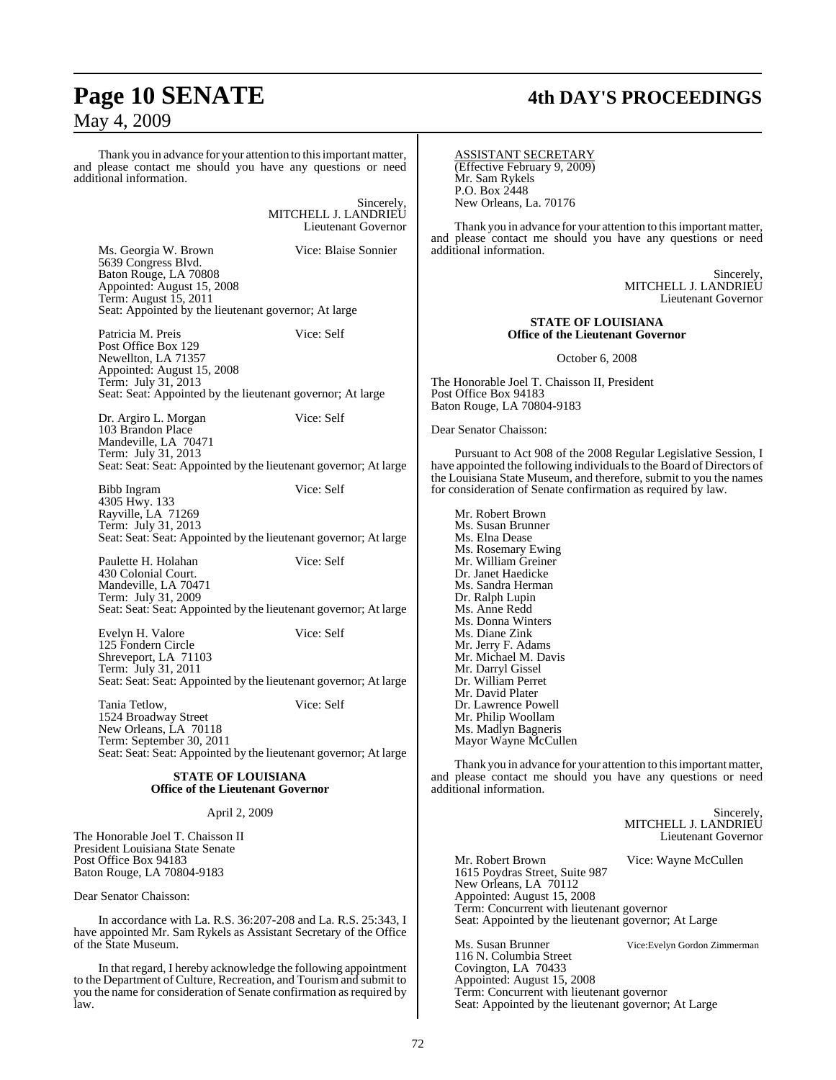Thank you in advance for your attention to this important matter, and please contact me should you have any questions or need additional information.

> Sincerely, MITCHELL J. LANDRIEU Lieutenant Governor

Ms. Georgia W. Brown Vice: Blaise Sonnier

5639 Congress Blvd. Baton Rouge, LA 70808 Appointed: August 15, 2008 Term: August 15, 2011 Seat: Appointed by the lieutenant governor; At large

Patricia M. Preis Vice: Self Post Office Box 129 Newellton, LA 71357 Appointed: August 15, 2008 Term: July 31, 2013 Seat: Seat: Appointed by the lieutenant governor; At large

Dr. Argiro L. Morgan Vice: Self 103 Brandon Place Mandeville, LA 70471 Term: July 31, 2013 Seat: Seat: Seat: Appointed by the lieutenant governor; At large

Bibb Ingram Vice: Self 4305 Hwy. 133 Rayville, LA 71269 Term: July 31, 2013 Seat: Seat: Seat: Appointed by the lieutenant governor; At large

Paulette H. Holahan Vice: Self 430 Colonial Court. Mandeville, LA 70471 Term: July 31, 2009 Seat: Seat: Seat: Appointed by the lieutenant governor; At large

Evelyn H. Valore Vice: Self 125 Fondern Circle Shreveport, LA 71103 Term: July 31, 2011 Seat: Seat: Seat: Appointed by the lieutenant governor; At large

Tania Tetlow, Vice: Self

1524 Broadway Street New Orleans, LA 70118 Term: September 30, 2011 Seat: Seat: Seat: Appointed by the lieutenant governor; At large

#### **STATE OF LOUISIANA Office of the Lieutenant Governor**

April 2, 2009

The Honorable Joel T. Chaisson II President Louisiana State Senate Post Office Box 94183 Baton Rouge, LA 70804-9183

Dear Senator Chaisson:

In accordance with La. R.S. 36:207-208 and La. R.S. 25:343, I have appointed Mr. Sam Rykels as Assistant Secretary of the Office of the State Museum.

In that regard, I hereby acknowledge the following appointment to the Department of Culture, Recreation, and Tourism and submit to you the name for consideration of Senate confirmation as required by law.

# **Page 10 SENATE 4th DAY'S PROCEEDINGS**

ASSISTANT SECRETARY (Effective February 9, 2009) Mr. Sam Rykels P.O. Box 2448 New Orleans, La. 70176

Thank you in advance for your attention to this important matter, and please contact me should you have any questions or need additional information.

> Sincerely, MITCHELL J. LANDRIEU Lieutenant Governor

#### **STATE OF LOUISIANA Office of the Lieutenant Governor**

October 6, 2008

The Honorable Joel T. Chaisson II, President Post Office Box 94183 Baton Rouge, LA 70804-9183

Dear Senator Chaisson:

Pursuant to Act 908 of the 2008 Regular Legislative Session, I have appointed the following individualsto the Board of Directors of the Louisiana State Museum, and therefore, submit to you the names for consideration of Senate confirmation as required by law.

Mr. Robert Brown Ms. Susan Brunner Ms. Elna Dease Ms. Rosemary Ewing Mr. William Greiner Dr. Janet Haedicke Ms. Sandra Herman Dr. Ralph Lupin Ms. Anne Redd Ms. Donna Winters Ms. Diane Zink Mr. Jerry F. Adams Mr. Michael M. Davis Mr. Darryl Gissel Dr. William Perret Mr. David Plater Dr. Lawrence Powell Mr. Philip Woollam Ms. Madlyn Bagneris Mayor Wayne McCullen

Thank you in advance for your attention to this important matter, and please contact me should you have any questions or need additional information.

Sincerely, MITCHELL J. LANDRIEU Lieutenant Governor Mr. Robert Brown Vice: Wayne McCullen 1615 Poydras Street, Suite 987 New Orleans, LA 70112 Appointed: August 15, 2008 Term: Concurrent with lieutenant governor Seat: Appointed by the lieutenant governor; At Large Ms. Susan Brunner Vice:Evelyn Gordon Zimmerman 116 N. Columbia Street Covington, LA 70433 Appointed: August 15, 2008 Term: Concurrent with lieutenant governor

Seat: Appointed by the lieutenant governor; At Large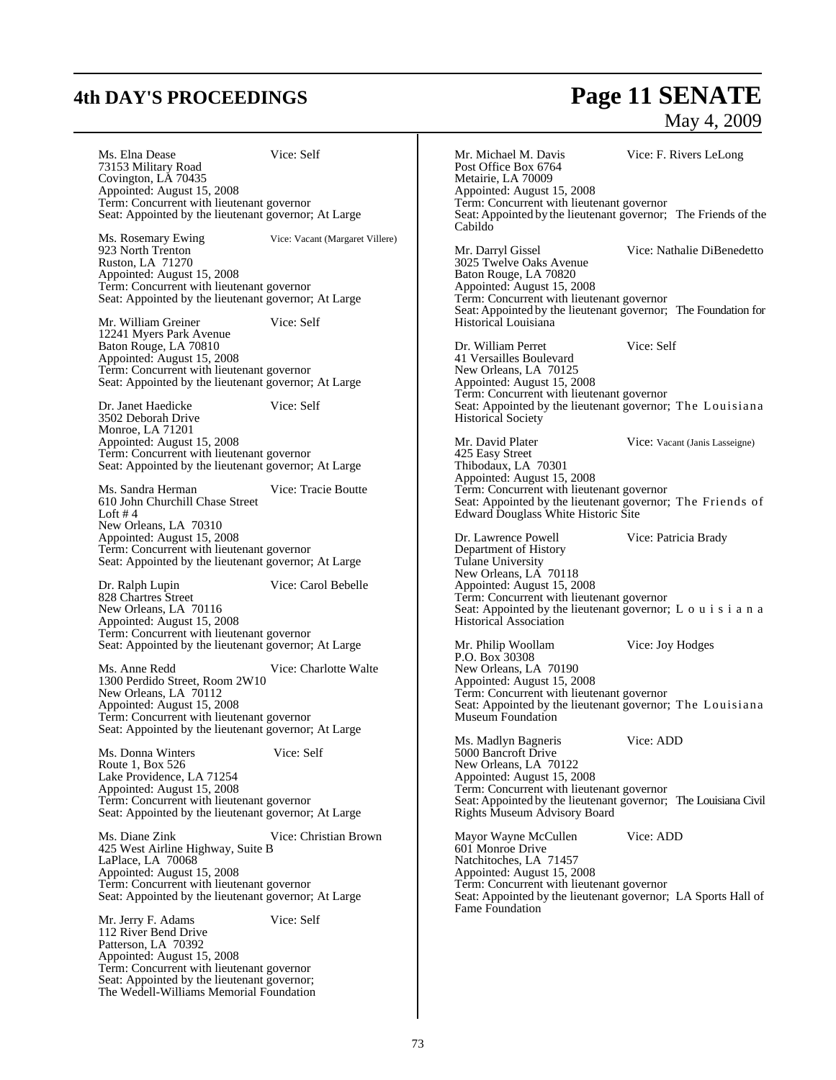# **4th DAY'S PROCEEDINGS Page 11 SENATE**

## May 4, 2009

Ms. Elna Dease Vice: Self 73153 Military Road Covington, LA 70435 Appointed: August 15, 2008 Term: Concurrent with lieutenant governor Seat: Appointed by the lieutenant governor; At Large Vice: Vacant (Margaret Villere) Ms. Rosemary Ewing<br>923 North Trenton Ruston, LA 71270 Appointed: August 15, 2008 Term: Concurrent with lieutenant governor Seat: Appointed by the lieutenant governor; At Large Mr. William Greiner Vice: Self 12241 Myers Park Avenue Baton Rouge, LA 70810 Appointed: August 15, 2008 Term: Concurrent with lieutenant governor Seat: Appointed by the lieutenant governor; At Large Dr. Janet Haedicke Vice: Self 3502 Deborah Drive Monroe, LA 71201 Appointed: August 15, 2008 Term: Concurrent with lieutenant governor Seat: Appointed by the lieutenant governor; At Large Ms. Sandra Herman Vice: Tracie Boutte 610 John Churchill Chase Street Loft # 4 New Orleans, LA 70310 Appointed: August 15, 2008 Term: Concurrent with lieutenant governor Seat: Appointed by the lieutenant governor; At Large Dr. Ralph Lupin Vice: Carol Bebelle 828 Chartres Street New Orleans, LA 70116 Appointed: August 15, 2008 Term: Concurrent with lieutenant governor Seat: Appointed by the lieutenant governor; At Large Ms. Anne Redd Vice: Charlotte Walte 1300 Perdido Street, Room 2W10 New Orleans, LA 70112 Appointed: August 15, 2008 Term: Concurrent with lieutenant governor Seat: Appointed by the lieutenant governor; At Large Ms. Donna Winters Vice: Self Route 1, Box 526 Lake Providence, LA 71254 Appointed: August 15, 2008 Term: Concurrent with lieutenant governor Seat: Appointed by the lieutenant governor; At Large Ms. Diane Zink Vice: Christian Brown 425 West Airline Highway, Suite B LaPlace, LA 70068 Appointed: August 15, 2008 Term: Concurrent with lieutenant governor Seat: Appointed by the lieutenant governor; At Large Mr. Jerry F. Adams Vice: Self 112 River Bend Drive Patterson, LA 70392 Appointed: August 15, 2008 Term: Concurrent with lieutenant governor Seat: Appointed by the lieutenant governor; The Wedell-Williams Memorial Foundation Mr. Michael M. Davis Vice: F. Rivers LeLong Post Office Box 6764 Metairie, LA 70009 Appointed: August 15, 2008 Term: Concurrent with lieutenant governor Seat: Appointed by the lieutenant governor; The Friends of the Cabildo Mr. Darryl Gissel Vice: Nathalie DiBenedetto 3025 Twelve Oaks Avenue Baton Rouge, LA 70820 Appointed: August 15, 2008 Term: Concurrent with lieutenant governor Seat: Appointed by the lieutenant governor; The Foundation for Historical Louisiana Dr. William Perret Vice: Self 41 Versailles Boulevard New Orleans, LA 70125 Appointed: August 15, 2008 Term: Concurrent with lieutenant governor Seat: Appointed by the lieutenant governor; The Louisiana Historical Society Mr. David Plater Vice: Vacant (Janis Lasseigne) 425 Easy Street Thibodaux, LA 70301 Appointed: August 15, 2008 Term: Concurrent with lieutenant governor Seat: Appointed by the lieutenant governor; The Friends of Edward Douglass White Historic Site Dr. Lawrence Powell Vice: Patricia Brady Department of History Tulane University New Orleans, LA 70118 Appointed: August 15, 2008 Term: Concurrent with lieutenant governor Seat: Appointed by the lieutenant governor; L  $\circ$  u i s i a n a Historical Association Mr. Philip Woollam Vice: Joy Hodges P.O. Box 30308 New Orleans, LA 70190 Appointed: August 15, 2008 Term: Concurrent with lieutenant governor Seat: Appointed by the lieutenant governor; The Louisiana Museum Foundation Ms. Madlyn Bagneris Vice: ADD 5000 Bancroft Drive New Orleans, LA 70122 Appointed: August 15, 2008 Term: Concurrent with lieutenant governor Seat: Appointed by the lieutenant governor; The Louisiana Civil Rights Museum Advisory Board Mayor Wayne McCullen Vice: ADD 601 Monroe Drive Natchitoches, LA 71457 Appointed: August 15, 2008 Term: Concurrent with lieutenant governor Seat: Appointed by the lieutenant governor; LA Sports Hall of Fame Foundation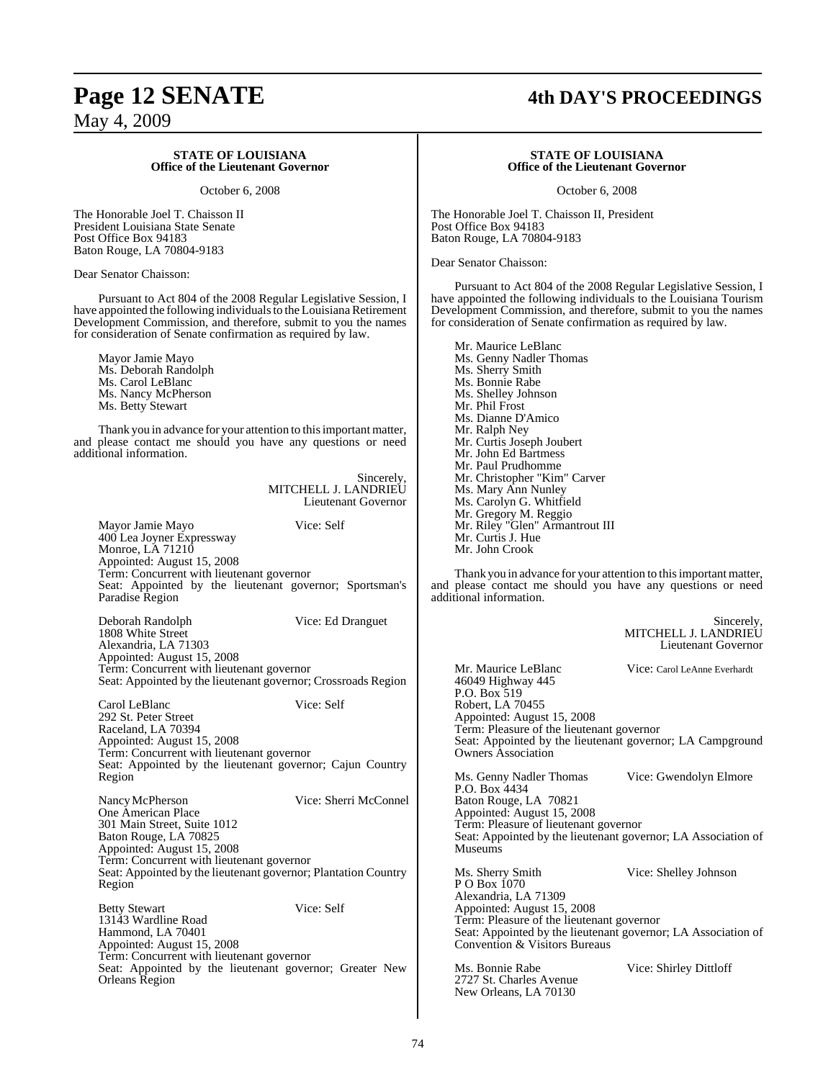#### **STATE OF LOUISIANA Office of the Lieutenant Governor**

October 6, 2008

The Honorable Joel T. Chaisson II President Louisiana State Senate Post Office Box 94183 Baton Rouge, LA 70804-9183

Dear Senator Chaisson:

Pursuant to Act 804 of the 2008 Regular Legislative Session, I have appointed the following individuals to the Louisiana Retirement Development Commission, and therefore, submit to you the names for consideration of Senate confirmation as required by law.

Mayor Jamie Mayo Ms. Deborah Randolph Ms. Carol LeBlanc Ms. Nancy McPherson Ms. Betty Stewart

Thank you in advance for your attention to this important matter, and please contact me should you have any questions or need additional information.

> Sincerely, MITCHELL J. LANDRIEU Lieutenant Governor

Mayor Jamie Mayo Vice: Self 400 Lea Joyner Expressway Monroe, LA 71210 Appointed: August 15, 2008 Term: Concurrent with lieutenant governor Seat: Appointed by the lieutenant governor; Sportsman's Paradise Region

Deborah Randolph Vice: Ed Dranguet 1808 White Street Alexandria, LA 71303 Appointed: August 15, 2008 Term: Concurrent with lieutenant governor Seat: Appointed by the lieutenant governor; Crossroads Region

Carol LeBlanc Vice: Self 292 St. Peter Street Raceland, LA 70394 Appointed: August 15, 2008 Term: Concurrent with lieutenant governor Seat: Appointed by the lieutenant governor; Cajun Country Region

NancyMcPherson Vice: Sherri McConnel One American Place 301 Main Street, Suite 1012 Baton Rouge, LA 70825 Appointed: August 15, 2008 Term: Concurrent with lieutenant governor Seat: Appointed by the lieutenant governor; Plantation Country Region

Betty Stewart Vice: Self 13143 Wardline Road Hammond, LA 70401 Appointed: August 15, 2008 Term: Concurrent with lieutenant governor Seat: Appointed by the lieutenant governor; Greater New Orleans Region

# **Page 12 SENATE 4th DAY'S PROCEEDINGS**

#### **STATE OF LOUISIANA Office of the Lieutenant Governor**

October 6, 2008

The Honorable Joel T. Chaisson II, President Post Office Box 94183 Baton Rouge, LA 70804-9183

Dear Senator Chaisson:

Pursuant to Act 804 of the 2008 Regular Legislative Session, I have appointed the following individuals to the Louisiana Tourism Development Commission, and therefore, submit to you the names for consideration of Senate confirmation as required by law.

Mr. Maurice LeBlanc Ms. Genny Nadler Thomas Ms. Sherry Smith Ms. Bonnie Rabe Ms. Shelley Johnson Mr. Phil Frost Ms. Dianne D'Amico Mr. Ralph Ney Mr. Curtis Joseph Joubert Mr. John Ed Bartmess Mr. Paul Prudhomme Mr. Christopher "Kim" Carver Ms. Mary Ann Nunley Ms. Carolyn G. Whitfield Mr. Gregory M. Reggio Mr. Riley "Glen" Armantrout III Mr. Curtis J. Hue Mr. John Crook

Thank you in advance for your attention to this important matter, please contact me should you have any questions or need additional information.

> Sincerely, MITCHELL J. LANDRIEU Lieutenant Governor

Mr. Maurice LeBlanc Vice: Carol LeAnne Everhardt 46049 Highway 445 P.O. Box 519 Robert, LA 70455 Appointed: August 15, 2008 Term: Pleasure of the lieutenant governor Seat: Appointed by the lieutenant governor; LA Campground Owners Association

Ms. Genny Nadler Thomas Vice: Gwendolyn Elmore P.O. Box 4434 Baton Rouge, LA 70821 Appointed: August 15, 2008 Term: Pleasure of lieutenant governor Seat: Appointed by the lieutenant governor; LA Association of Museums

Ms. Sherry Smith Vice: Shelley Johnson P O Box 1070 Alexandria, LA 71309 Appointed: August 15, 2008 Term: Pleasure of the lieutenant governor Seat: Appointed by the lieutenant governor; LA Association of Convention & Visitors Bureaus

Ms. Bonnie Rabe Vice: Shirley Dittloff 2727 St. Charles Avenue New Orleans, LA 70130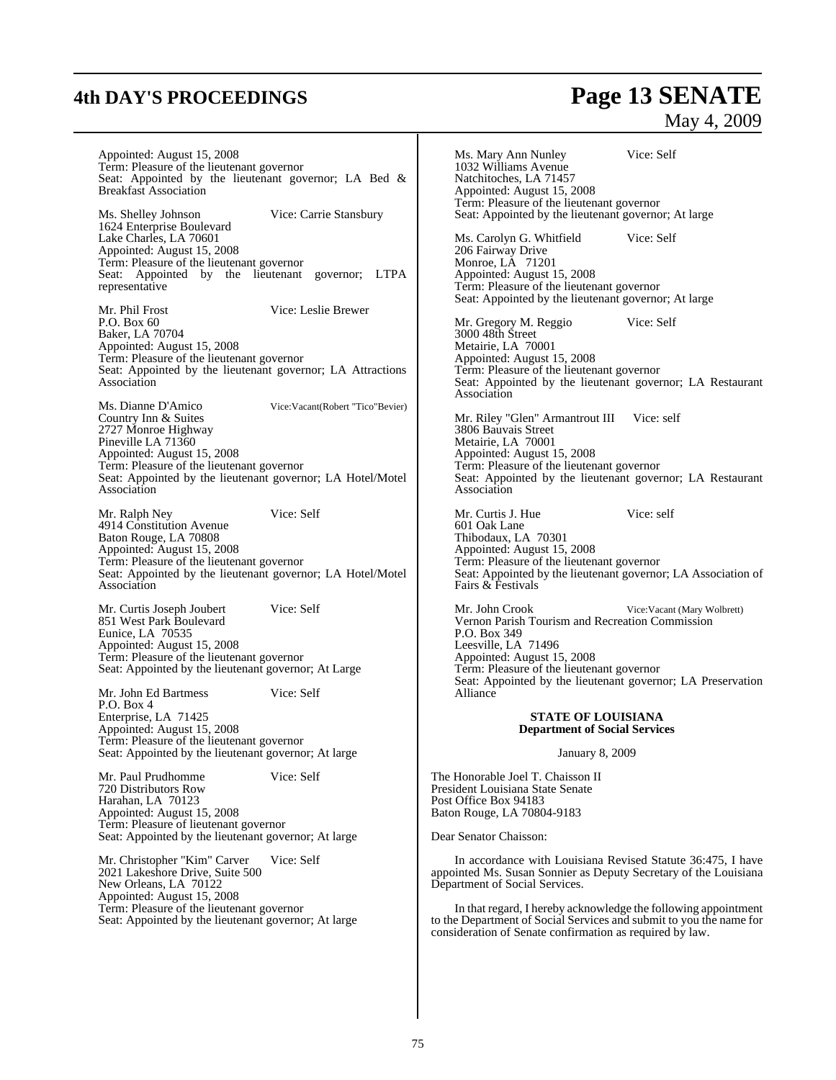# **4th DAY'S PROCEEDINGS Page 13 SENATE**

## May 4, 2009

Appointed: August 15, 2008 Term: Pleasure of the lieutenant governor Seat: Appointed by the lieutenant governor; LA Bed & Breakfast Association

Ms. Shelley Johnson Vice: Carrie Stansbury 1624 Enterprise Boulevard Lake Charles, LA 70601 Appointed: August 15, 2008 Term: Pleasure of the lieutenant governor Seat: Appointed by the lieutenant governor; LTPA representative

Mr. Phil Frost Vice: Leslie Brewer P.O. Box 60 Baker, LA 70704 Appointed: August 15, 2008 Term: Pleasure of the lieutenant governor Seat: Appointed by the lieutenant governor; LA Attractions Association

Ms. Dianne D'Amico Vice:Vacant(Robert "Tico"Bevier) Country Inn & Suites 2727 Monroe Highway Pineville LA 71360 Appointed: August 15, 2008 Term: Pleasure of the lieutenant governor Seat: Appointed by the lieutenant governor; LA Hotel/Motel Association

Mr. Ralph Ney Vice: Self 4914 Constitution Avenue Baton Rouge, LA 70808 Appointed: August 15, 2008 Term: Pleasure of the lieutenant governor Seat: Appointed by the lieutenant governor; LA Hotel/Motel Association

Mr. Curtis Joseph Joubert Vice: Self 851 West Park Boulevard Eunice, LA 70535 Appointed: August 15, 2008 Term: Pleasure of the lieutenant governor Seat: Appointed by the lieutenant governor; At Large

Mr. John Ed Bartmess Vice: Self P.O. Box 4 Enterprise, LA 71425 Appointed: August 15, 2008 Term: Pleasure of the lieutenant governor Seat: Appointed by the lieutenant governor; At large

Mr. Paul Prudhomme Vice: Self 720 Distributors Row Harahan, LA 70123 Appointed: August 15, 2008 Term: Pleasure of lieutenant governor Seat: Appointed by the lieutenant governor; At large

Mr. Christopher "Kim" Carver Vice: Self 2021 Lakeshore Drive, Suite 500 New Orleans, LA 70122 Appointed: August 15, 2008 Term: Pleasure of the lieutenant governor Seat: Appointed by the lieutenant governor; At large Ms. Mary Ann Nunley Vice: Self 1032 Williams Avenue Natchitoches, LA 71457 Appointed: August 15, 2008 Term: Pleasure of the lieutenant governor Seat: Appointed by the lieutenant governor; At large Ms. Carolyn G. Whitfield Vice: Self 206 Fairway Drive Monroe, LA 71201 Appointed: August 15, 2008 Term: Pleasure of the lieutenant governor Seat: Appointed by the lieutenant governor; At large Mr. Gregory M. Reggio Vice: Self 3000 48th Street Metairie, LA 70001 Appointed: August 15, 2008 Term: Pleasure of the lieutenant governor Seat: Appointed by the lieutenant governor; LA Restaurant Association Mr. Riley "Glen" Armantrout III Vice: self 3806 Bauvais Street Metairie, LA 70001 Appointed: August 15, 2008 Term: Pleasure of the lieutenant governor Seat: Appointed by the lieutenant governor; LA Restaurant Association Mr. Curtis J. Hue Vice: self 601 Oak Lane Thibodaux, LA 70301 Appointed: August 15, 2008 Term: Pleasure of the lieutenant governor Seat: Appointed by the lieutenant governor; LA Association of Fairs & Festivals

Mr. John Crook Vice:Vacant (Mary Wolbrett) Vernon Parish Tourism and Recreation Commission P.O. Box 349 Leesville, LA 71496 Appointed: August 15, 2008 Term: Pleasure of the lieutenant governor Seat: Appointed by the lieutenant governor; LA Preservation Alliance

#### **STATE OF LOUISIANA Department of Social Services**

January 8, 2009

The Honorable Joel T. Chaisson II President Louisiana State Senate Post Office Box 94183 Baton Rouge, LA 70804-9183

Dear Senator Chaisson:

In accordance with Louisiana Revised Statute 36:475, I have appointed Ms. Susan Sonnier as Deputy Secretary of the Louisiana Department of Social Services.

In that regard, I hereby acknowledge the following appointment to the Department of Social Services and submit to you the name for consideration of Senate confirmation as required by law.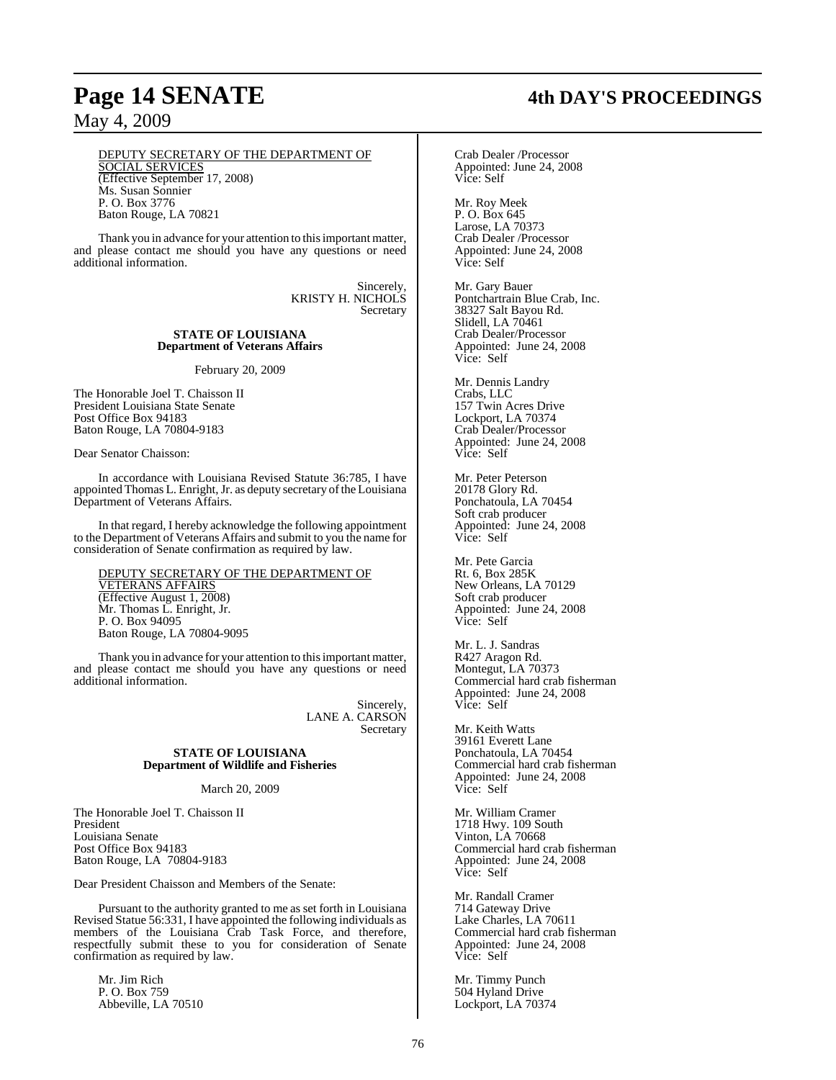Baton Rouge, LA 70821

## May 4, 2009

#### DEPUTY SECRETARY OF THE DEPARTMENT OF SOCIAL SERVICES (Effective September 17, 2008) Ms. Susan Sonnier P. O. Box 3776

Thank you in advance for your attention to this important matter, and please contact me should you have any questions or need additional information.

> Sincerely, KRISTY H. NICHOLS Secretary

#### **STATE OF LOUISIANA Department of Veterans Affairs**

February 20, 2009

The Honorable Joel T. Chaisson II President Louisiana State Senate Post Office Box 94183 Baton Rouge, LA 70804-9183

Dear Senator Chaisson:

In accordance with Louisiana Revised Statute 36:785, I have appointed Thomas L. Enright, Jr. as deputy secretary of the Louisiana Department of Veterans Affairs.

In that regard, I hereby acknowledge the following appointment to the Department of Veterans Affairs and submit to you the name for consideration of Senate confirmation as required by law.

DEPUTY SECRETARY OF THE DEPARTMENT OF VETERANS AFFAIRS (Effective August 1, 2008) Mr. Thomas L. Enright, Jr. P. O. Box 94095 Baton Rouge, LA 70804-9095

Thank you in advance for your attention to this important matter, and please contact me should you have any questions or need additional information.

> Sincerely, LANE A. CARSON Secretary

#### **STATE OF LOUISIANA Department of Wildlife and Fisheries**

March 20, 2009

The Honorable Joel T. Chaisson II President Louisiana Senate Post Office Box 94183 Baton Rouge, LA 70804-9183

Dear President Chaisson and Members of the Senate:

Pursuant to the authority granted to me as set forth in Louisiana Revised Statue 56:331, I have appointed the following individuals as members of the Louisiana Crab Task Force, and therefore, respectfully submit these to you for consideration of Senate confirmation as required by law.

Mr. Iim Rich P. O. Box 759 Abbeville, LA 70510

# **Page 14 SENATE 4th DAY'S PROCEEDINGS**

Crab Dealer /Processor Appointed: June 24, 2008 Vice: Self

Mr. Roy Meek P. O. Box 645 Larose, LA 70373 Crab Dealer /Processor Appointed: June 24, 2008 Vice: Self

Mr. Gary Bauer Pontchartrain Blue Crab, Inc. 38327 Salt Bayou Rd. Slidell, LA 70461 Crab Dealer/Processor Appointed: June 24, 2008 Vice: Self

Mr. Dennis Landry Crabs, LLC 157 Twin Acres Drive Lockport, LA 70374 Crab Dealer/Processor Appointed: June 24, 2008 Vice: Self

Mr. Peter Peterson 20178 Glory Rd. Ponchatoula, LA 70454 Soft crab producer Appointed: June 24, 2008 Vice: Self

Mr. Pete Garcia Rt. 6, Box 285K New Orleans, LA 70129 Soft crab producer Appointed: June 24, 2008 Vice: Self

Mr. L. J. Sandras R427 Aragon Rd. Montegut, LA 70373 Commercial hard crab fisherman Appointed: June 24, 2008 Vice: Self

Mr. Keith Watts 39161 Everett Lane Ponchatoula, LA 70454 Commercial hard crab fisherman Appointed: June 24, 2008 Vice: Self

Mr. William Cramer 1718 Hwy. 109 South Vinton, LA 70668 Commercial hard crab fisherman Appointed: June 24, 2008 Vice: Self

Mr. Randall Cramer 714 Gateway Drive Lake Charles, LA 70611 Commercial hard crab fisherman Appointed: June 24, 2008 Vice: Self

Mr. Timmy Punch 504 Hyland Drive Lockport, LA 70374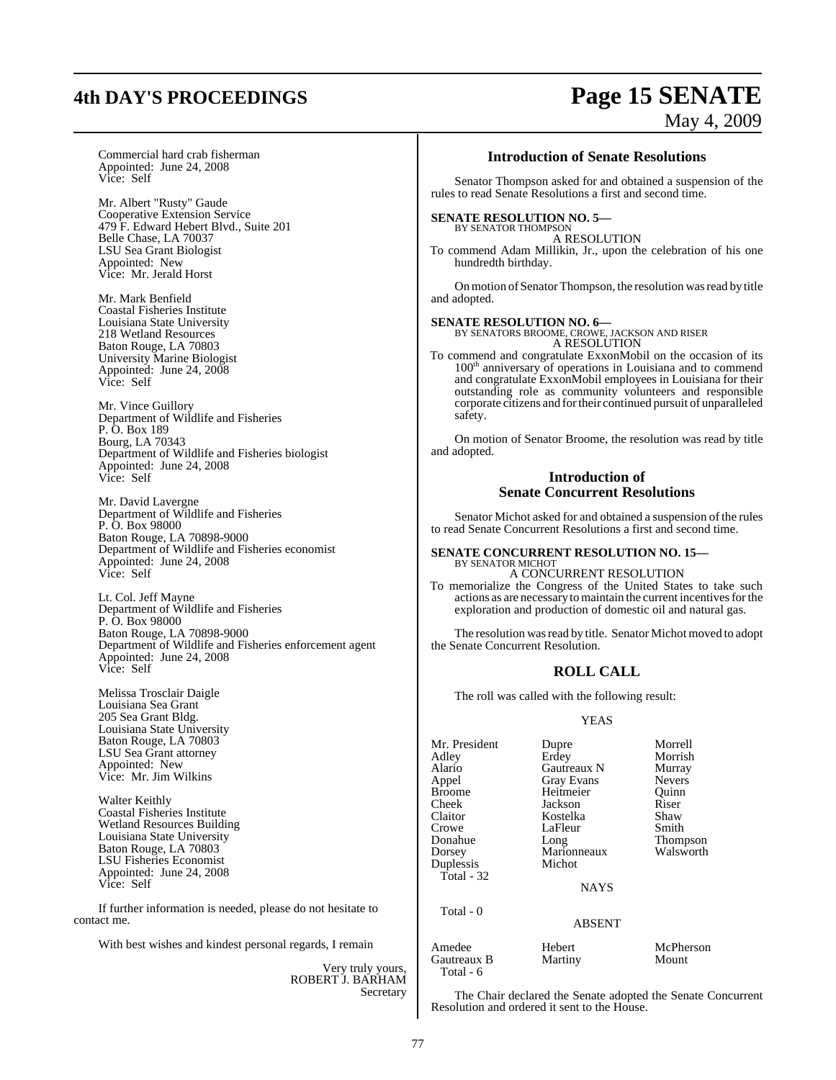# **4th DAY'S PROCEEDINGS Page 15 SENATE**

# May 4, 2009

Commercial hard crab fisherman Appointed: June 24, 2008 Vice: Self

Mr. Albert "Rusty" Gaude Cooperative Extension Service 479 F. Edward Hebert Blvd., Suite 201 Belle Chase, LA 70037 LSU Sea Grant Biologist Appointed: New Vice: Mr. Jerald Horst

Mr. Mark Benfield Coastal Fisheries Institute Louisiana State University 218 Wetland Resources Baton Rouge, LA 70803 University Marine Biologist Appointed: June 24, 2008 Vice: Self

Mr. Vince Guillory Department of Wildlife and Fisheries P. O. Box 189 Bourg, LA 70343 Department of Wildlife and Fisheries biologist Appointed: June 24, 2008 Vice: Self

Mr. David Lavergne Department of Wildlife and Fisheries P. O. Box 98000 Baton Rouge, LA 70898-9000 Department of Wildlife and Fisheries economist Appointed: June 24, 2008 Vice: Self

Lt. Col. Jeff Mayne Department of Wildlife and Fisheries P. O. Box 98000 Baton Rouge, LA 70898-9000 Department of Wildlife and Fisheries enforcement agent Appointed: June 24, 2008 Vice: Self

Melissa Trosclair Daigle Louisiana Sea Grant 205 Sea Grant Bldg. Louisiana State University Baton Rouge, LA 70803 LSU Sea Grant attorney Appointed: New Vice: Mr. Jim Wilkins

Walter Keithly Coastal Fisheries Institute Wetland Resources Building Louisiana State University Baton Rouge, LA 70803 LSU Fisheries Economist Appointed: June 24, 2008 Vice: Self

If further information is needed, please do not hesitate to contact me.

With best wishes and kindest personal regards, I remain

Very truly yours, ROBERT J. BARHAM Secretary

#### **Introduction of Senate Resolutions**

Senator Thompson asked for and obtained a suspension of the rules to read Senate Resolutions a first and second time.

## **SENATE RESOLUTION NO. 5—**<br>BY SENATOR THOMPSON

A RESOLUTION

To commend Adam Millikin, Jr., upon the celebration of his one hundredth birthday.

On motion of Senator Thompson, the resolution was read by title and adopted.

#### **SENATE RESOLUTION NO. 6—**

BY SENATORS BROOME, CROWE, JACKSON AND RISER A RESOLUTION

To commend and congratulate ExxonMobil on the occasion of its 100<sup>th</sup> anniversary of operations in Louisiana and to commend and congratulate ExxonMobil employees in Louisiana for their outstanding role as community volunteers and responsible corporate citizens and fortheir continued pursuit of unparalleled safety.

On motion of Senator Broome, the resolution was read by title and adopted.

#### **Introduction of Senate Concurrent Resolutions**

Senator Michot asked for and obtained a suspension of the rules to read Senate Concurrent Resolutions a first and second time.

#### **SENATE CONCURRENT RESOLUTION NO. 15—** BY SENATOR MICHOT

A CONCURRENT RESOLUTION To memorialize the Congress of the United States to take such actions as are necessary to maintain the current incentives for the exploration and production of domestic oil and natural gas.

The resolution was read by title. Senator Michot moved to adopt the Senate Concurrent Resolution.

## **ROLL CALL**

The roll was called with the following result:

#### YEAS

Mr. President Dupre Morrell<br>
Adley Erdey Morrish Adley Erdey Morrish Alario Gautreaux N Murray<br>
Appel Gray Evans Nevers Appel Gray Evans Nevers<br>Broome Heitmeier Ouinn Broome Heitmeier Quinn<br>
Cheek Jackson Riser Cheek Jackson Riser<br>Claitor Kostelka Shaw Claitor Kostelka Shaw Crowe LaFleur<br>Donahue Long Donahue Long Thompson Duplessis Total - 32

Total - 0

Marionneaux<br>Michot

**NAYS** 

ABSENT

Amedee Hebert McPherson<br>
Gautreaux B Martiny Mount Gautreaux B Total - 6

The Chair declared the Senate adopted the Senate Concurrent Resolution and ordered it sent to the House.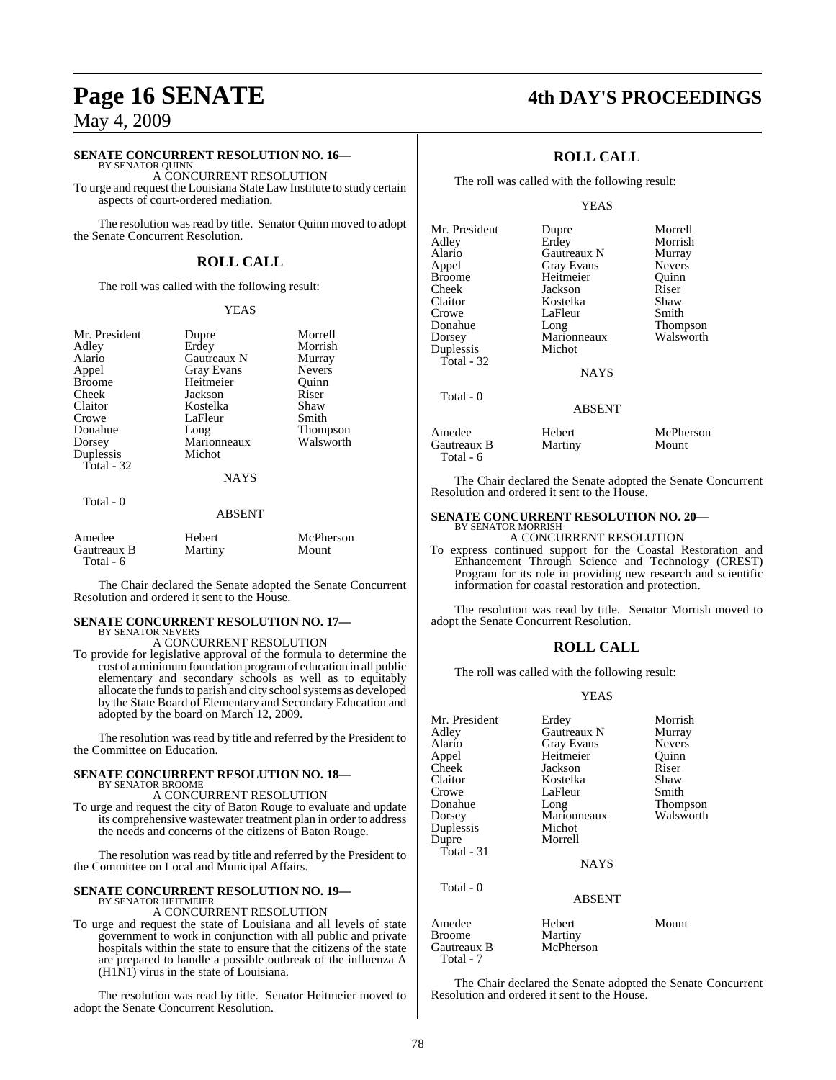#### **SENATE CONCURRENT RESOLUTION NO. 16—** BY SENATOR QUINN

A CONCURRENT RESOLUTION

To urge and request the Louisiana State Law Institute to study certain aspects of court-ordered mediation.

The resolution was read by title. Senator Quinn moved to adopt the Senate Concurrent Resolution.

## **ROLL CALL**

The roll was called with the following result:

#### YEAS

Morrish

Mr. President Dupre Morrell<br>
Adley Erdey Morrish Alario Gautreaux N Murray Appel Gray Evans Nevers<br>Broome Heitmeier Ouinn Cheek Jackson Riser<br>Claitor Kostelka Shaw Claitor **Kostelka** Shaw<br>Crowe LaFleur Smith Donahue Long Thompson Dorsey Marionneaux<br>
Duplessis Michot Duplessis Total - 32

Heitmeier<br>Iackson LaFleur

#### NAYS

| otal |  |  |
|------|--|--|
|------|--|--|

#### ABSENT

| Amedee                   | Hebert  | McPherson |
|--------------------------|---------|-----------|
| Gautreaux B<br>Total - 6 | Martiny | Mount     |

The Chair declared the Senate adopted the Senate Concurrent Resolution and ordered it sent to the House.

#### **SENATE CONCURRENT RESOLUTION NO. 17—**

BY SENATOR NEVERS A CONCURRENT RESOLUTION

To provide for legislative approval of the formula to determine the cost of a minimumfoundation programof education in all public elementary and secondary schools as well as to equitably allocate the funds to parish and city school systems as developed by the State Board of Elementary and Secondary Education and adopted by the board on March 12, 2009.

The resolution was read by title and referred by the President to the Committee on Education.

#### **SENATE CONCURRENT RESOLUTION NO. 18—** BY SENATOR BROOME

A CONCURRENT RESOLUTION

To urge and request the city of Baton Rouge to evaluate and update its comprehensive wastewater treatment plan in order to address the needs and concerns of the citizens of Baton Rouge.

The resolution was read by title and referred by the President to the Committee on Local and Municipal Affairs.

## **SENATE CONCURRENT RESOLUTION NO. 19—**

BY SENATOR HEITMEIER A CONCURRENT RESOLUTION

To urge and request the state of Louisiana and all levels of state government to work in conjunction with all public and private hospitals within the state to ensure that the citizens of the state are prepared to handle a possible outbreak of the influenza A  $(H1\bar{N}1)$  virus in the state of Louisiana.

The resolution was read by title. Senator Heitmeier moved to adopt the Senate Concurrent Resolution.

## **Page 16 SENATE 4th DAY'S PROCEEDINGS**

### **ROLL CALL**

The roll was called with the following result:

#### YEAS

| Mr. President | Dupre             | Morrell       |
|---------------|-------------------|---------------|
| Adley         | Erdey             | Morrish       |
| Alario        | Gautreaux N       | Murray        |
| Appel         | <b>Gray Evans</b> | <b>Nevers</b> |
| <b>Broome</b> | Heitmeier         | Ouinn         |
| Cheek         | Jackson           | Riser         |
| Claitor       | Kostelka          | Shaw          |
| Crowe         | LaFleur           | Smith         |
| Donahue       | Long              | Thompson      |
| Dorsey        | Marionneaux       | Walsworth     |
| Duplessis     | Michot            |               |
| Total - 32    |                   |               |
|               | <b>NAYS</b>       |               |
| Total - 0     |                   |               |
|               | <b>ABSENT</b>     |               |
| Amedee        | Hebert            | McPherson     |
| Gautreaux B   | Martiny           | Mount         |

Total - 6

| McPherson |
|-----------|
| Mount     |

The Chair declared the Senate adopted the Senate Concurrent Resolution and ordered it sent to the House.

#### **SENATE CONCURRENT RESOLUTION NO. 20—** BY SENATOR MORRISH

#### A CONCURRENT RESOLUTION

To express continued support for the Coastal Restoration and Enhancement Through Science and Technology (CREST) Program for its role in providing new research and scientific information for coastal restoration and protection.

The resolution was read by title. Senator Morrish moved to adopt the Senate Concurrent Resolution.

#### **ROLL CALL**

The roll was called with the following result:

#### YEAS

| Mr. President | Erdey              | Morrish       |
|---------------|--------------------|---------------|
| Adley         | <b>Gautreaux N</b> | Murray        |
| Alario        | Gray Evans         | <b>Nevers</b> |
| Appel         | Heitmeier          | Ouinn         |
| Cheek         | Jackson            | Riser         |
| Claitor       | Kostelka           | Shaw          |
| Crowe         | LaFleur            | Smith         |
| Donahue       | Long               | Thompson      |
| Dorsey        | Marionneaux        | Walsworth     |
| Duplessis     | Michot             |               |
| Dupre         | Morrell            |               |
| Total - 31    |                    |               |
|               | <b>NAYS</b>        |               |
| Total $-0$    |                    |               |
|               | <b>ABSENT</b>      |               |
| Amedee        | Hebert             | Mount         |
| <b>Broome</b> | Martiny            |               |
| Gautreaux B   | McPherson          |               |

The Chair declared the Senate adopted the Senate Concurrent Resolution and ordered it sent to the House.

Total - 7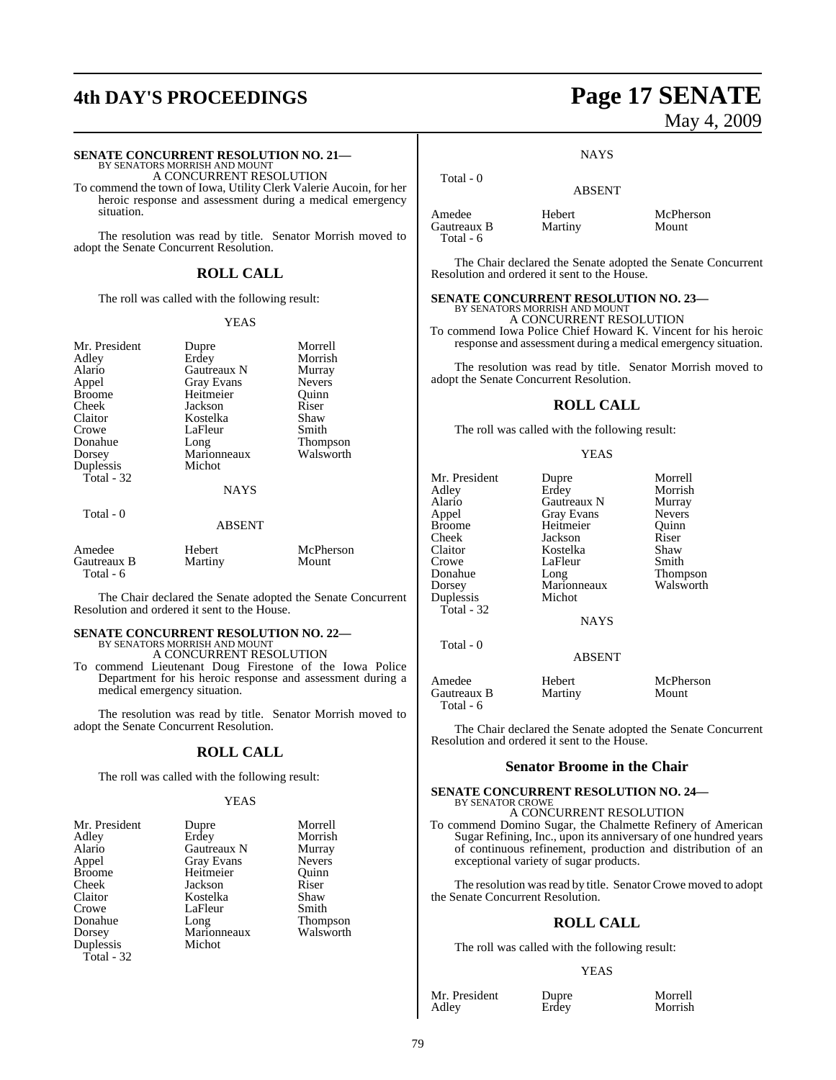# **4th DAY'S PROCEEDINGS Page 17 SENATE**

# **SENATE CONCURRENT RESOLUTION NO. 21—**<br>BY SENATORS MORRISH AND MOUNT A CONCURRENT RESOLUTION

To commend the town of Iowa, Utility Clerk Valerie Aucoin, for her heroic response and assessment during a medical emergency situation.

The resolution was read by title. Senator Morrish moved to adopt the Senate Concurrent Resolution.

### **ROLL CALL**

The roll was called with the following result:

#### YEAS

| Mr. President<br>Adley<br>Alario<br>Appel<br><b>Broome</b><br>Cheek<br>Claitor<br>Crowe<br>Donahue | Dupre<br>Erdey<br>Gautreaux N<br><b>Gray Evans</b><br>Heitmeier<br>Jackson<br>Kostelka<br>LaFleur | Morrell<br>Morrish<br>Murray<br><b>Nevers</b><br>Ouinn<br>Riser<br>Shaw<br>Smith |
|----------------------------------------------------------------------------------------------------|---------------------------------------------------------------------------------------------------|----------------------------------------------------------------------------------|
|                                                                                                    |                                                                                                   |                                                                                  |
| Dorsey                                                                                             | Long<br>Marionneaux                                                                               | Thompson<br>Walsworth                                                            |
| Duplessis<br>Total - 32                                                                            | Michot                                                                                            |                                                                                  |
|                                                                                                    | NAYS                                                                                              |                                                                                  |
| Total - 0                                                                                          | <b>ABSENT</b>                                                                                     |                                                                                  |
| Amedee<br>Gautreaux B<br>Total - 6                                                                 | Hebert<br>Martiny                                                                                 | McPherson<br>Mount                                                               |

The Chair declared the Senate adopted the Senate Concurrent Resolution and ordered it sent to the House.

# **SENATE CONCURRENT RESOLUTION NO. 22—** BY SENATORS MORRISH AND MOUNT

A CONCURRENT RESOLUTION

To commend Lieutenant Doug Firestone of the Iowa Police Department for his heroic response and assessment during a medical emergency situation.

The resolution was read by title. Senator Morrish moved to adopt the Senate Concurrent Resolution.

## **ROLL CALL**

The roll was called with the following result:

#### **YEAS**

| Dupre             | Morrell         |
|-------------------|-----------------|
| Erdey             | Morrish         |
| Gautreaux N       | Murray          |
| <b>Gray Evans</b> | <b>Nevers</b>   |
| Heitmeier         | Ouinn           |
| Jackson           | Riser           |
| Kostelka          | Shaw            |
| LaFleur           | Smith           |
| Long              | <b>Thompson</b> |
| Marionneaux       | Walsworth       |
| Michot            |                 |
|                   |                 |
|                   |                 |

# May 4, 2009

**NAYS** 

ABSENT

Amedee Hebert McPherson<br>
Gautreaux B Martiny Mount Gautreaux B Total - 6

Total - 0

The Chair declared the Senate adopted the Senate Concurrent Resolution and ordered it sent to the House.

#### **SENATE CONCURRENT RESOLUTION NO. 23—** BY SENATORS MORRISH AND MOUNT A CONCURRENT RESOLUTION

To commend Iowa Police Chief Howard K. Vincent for his heroic response and assessment during a medical emergency situation.

The resolution was read by title. Senator Morrish moved to adopt the Senate Concurrent Resolution.

#### **ROLL CALL**

The roll was called with the following result:

#### YEAS

| Mr. President            | Dupre             | Morrell         |  |  |
|--------------------------|-------------------|-----------------|--|--|
| Adley                    | Erdey             | Morrish         |  |  |
| Alario                   | Gautreaux N       | Murray          |  |  |
| Appel                    | <b>Gray Evans</b> | <b>Nevers</b>   |  |  |
| <b>Broome</b>            | Heitmeier         | Quinn           |  |  |
| Cheek                    | Jackson           | Riser           |  |  |
| Claitor                  | Kostelka          | Shaw            |  |  |
| Crowe                    | LaFleur           | Smith           |  |  |
| Donahue                  | Long              | <b>Thompson</b> |  |  |
| Dorsey                   | Marionneaux       | Walsworth       |  |  |
| Duplessis                | Michot            |                 |  |  |
| Total - 32               |                   |                 |  |  |
|                          | <b>NAYS</b>       |                 |  |  |
| Total - 0                |                   |                 |  |  |
|                          | <b>ABSENT</b>     |                 |  |  |
| Amedee                   | Hebert            | McPherson       |  |  |
| Gautreaux B<br>Total - 6 | Martiny           | Mount           |  |  |

The Chair declared the Senate adopted the Senate Concurrent Resolution and ordered it sent to the House.

### **Senator Broome in the Chair**

#### **SENATE CONCURRENT RESOLUTION NO. 24—** BY SENATOR CROWE

A CONCURRENT RESOLUTION To commend Domino Sugar, the Chalmette Refinery of American

Sugar Refining, Inc., upon its anniversary of one hundred years of continuous refinement, production and distribution of an exceptional variety of sugar products.

The resolution was read by title. Senator Crowe moved to adopt the Senate Concurrent Resolution.

### **ROLL CALL**

The roll was called with the following result:

#### YEAS

Mr. President Dupre Morrell<br>Adley Erdey Morrish

Morrish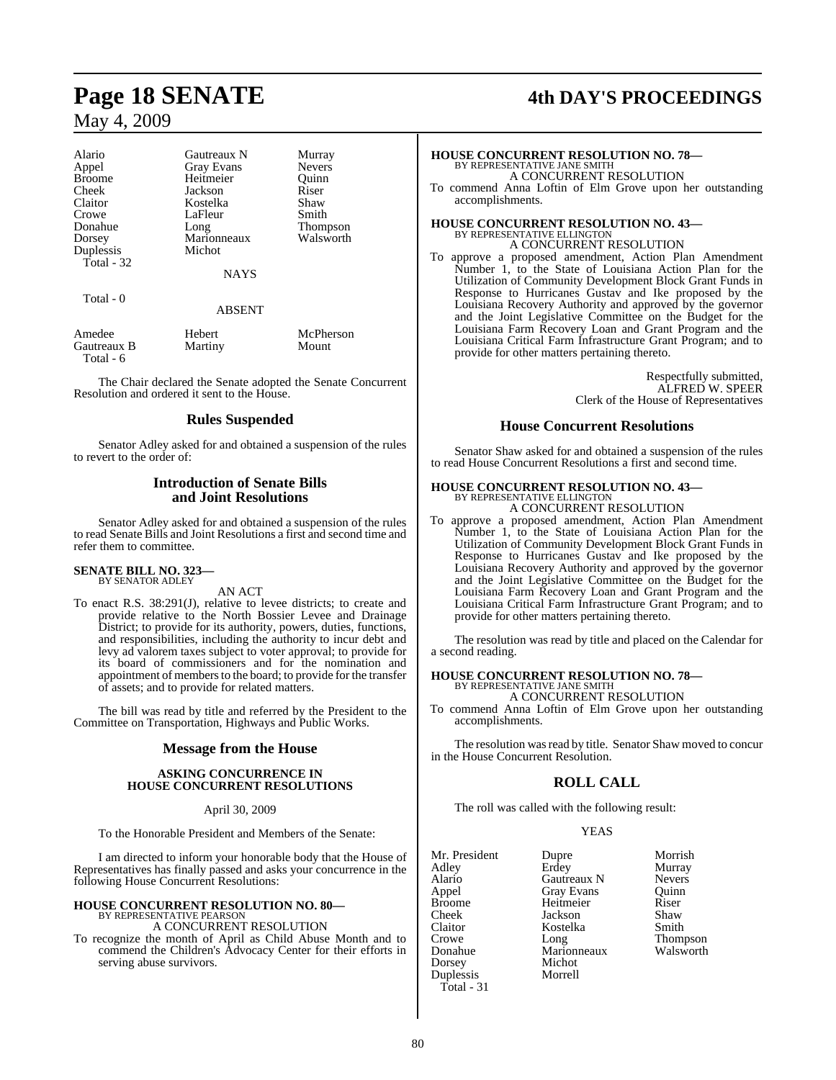| Gautreaux N       | Murray        |
|-------------------|---------------|
| <b>Gray Evans</b> | <b>Nevers</b> |
| Heitmeier         | Ouinn         |
| Jackson           | Riser         |
| Kostelka          | Shaw          |
| LaFleur           | Smith         |
|                   | Thompson      |
| Marionneaux       | Walsworth     |
| Michot            |               |
|                   |               |
| <b>NAYS</b>       |               |
|                   |               |
|                   | Long          |

Total - 0

#### ABSENT

| Amedee      | Hebert  | McPherson |
|-------------|---------|-----------|
| Gautreaux B | Martiny | Mount     |
| Total - 6   |         |           |

The Chair declared the Senate adopted the Senate Concurrent Resolution and ordered it sent to the House.

#### **Rules Suspended**

Senator Adley asked for and obtained a suspension of the rules to revert to the order of:

#### **Introduction of Senate Bills and Joint Resolutions**

Senator Adley asked for and obtained a suspension of the rules to read Senate Bills and Joint Resolutions a first and second time and refer them to committee.

#### **SENATE BILL NO. 323—** BY SENATOR ADLEY

AN ACT

To enact R.S. 38:291(J), relative to levee districts; to create and provide relative to the North Bossier Levee and Drainage District; to provide for its authority, powers, duties, functions, and responsibilities, including the authority to incur debt and levy ad valorem taxes subject to voter approval; to provide for its board of commissioners and for the nomination and appointment of members to the board; to provide for the transfer of assets; and to provide for related matters.

The bill was read by title and referred by the President to the Committee on Transportation, Highways and Public Works.

#### **Message from the House**

#### **ASKING CONCURRENCE IN HOUSE CONCURRENT RESOLUTIONS**

April 30, 2009

To the Honorable President and Members of the Senate:

I am directed to inform your honorable body that the House of Representatives has finally passed and asks your concurrence in the following House Concurrent Resolutions:

# **HOUSE CONCURRENT RESOLUTION NO. 80—** BY REPRESENTATIVE PEARSON A CONCURRENT RESOLUTION

To recognize the month of April as Child Abuse Month and to commend the Children's Advocacy Center for their efforts in serving abuse survivors.

# **Page 18 SENATE 4th DAY'S PROCEEDINGS**

## **HOUSE CONCURRENT RESOLUTION NO. 78—** BY REPRESENTATIVE JANE SMITH A CONCURRENT RESOLUTION

To commend Anna Loftin of Elm Grove upon her outstanding accomplishments.

## **HOUSE CONCURRENT RESOLUTION NO. 43—** BY REPRESENTATIVE ELLINGTON A CONCURRENT RESOLUTION

To approve a proposed amendment, Action Plan Amendment Number 1, to the State of Louisiana Action Plan for the Utilization of Community Development Block Grant Funds in Response to Hurricanes Gustav and Ike proposed by the Louisiana Recovery Authority and approved by the governor and the Joint Legislative Committee on the Budget for the Louisiana Farm Recovery Loan and Grant Program and the Louisiana Critical Farm Infrastructure Grant Program; and to provide for other matters pertaining thereto.

> Respectfully submitted, ALFRED W. SPEER Clerk of the House of Representatives

#### **House Concurrent Resolutions**

Senator Shaw asked for and obtained a suspension of the rules to read House Concurrent Resolutions a first and second time.

# **HOUSE CONCURRENT RESOLUTION NO. 43—** BY REPRESENTATIVE ELLINGTON

A CONCURRENT RESOLUTION

To approve a proposed amendment, Action Plan Amendment Number 1, to the State of Louisiana Action Plan for the Utilization of Community Development Block Grant Funds in Response to Hurricanes Gustav and Ike proposed by the Louisiana Recovery Authority and approved by the governor and the Joint Legislative Committee on the Budget for the Louisiana Farm Recovery Loan and Grant Program and the Louisiana Critical Farm Infrastructure Grant Program; and to provide for other matters pertaining thereto.

The resolution was read by title and placed on the Calendar for a second reading.

**HOUSE CONCURRENT RESOLUTION NO. 78—** BY REPRESENTATIVE JANE SMITH

A CONCURRENT RESOLUTION

To commend Anna Loftin of Elm Grove upon her outstanding accomplishments.

The resolution was read by title. Senator Shaw moved to concur in the House Concurrent Resolution.

## **ROLL CALL**

The roll was called with the following result:

YEAS

| Mr. President | Dupre             | Morrish         |
|---------------|-------------------|-----------------|
| Adley         | Erdey             | Murray          |
| Alario        | Gautreaux N       | <b>Nevers</b>   |
| Appel         | <b>Gray Evans</b> | Quinn           |
| <b>Broome</b> | Heitmeier         | Riser           |
| Cheek         | Jackson           | Shaw            |
| Claitor       | Kostelka          | Smith           |
| Crowe         | Long              | <b>Thompson</b> |
| Donahue       | Marionneaux       | Walsworth       |
| Dorsey        | Michot            |                 |
| Duplessis     | Morrell           |                 |
| $Total - 31$  |                   |                 |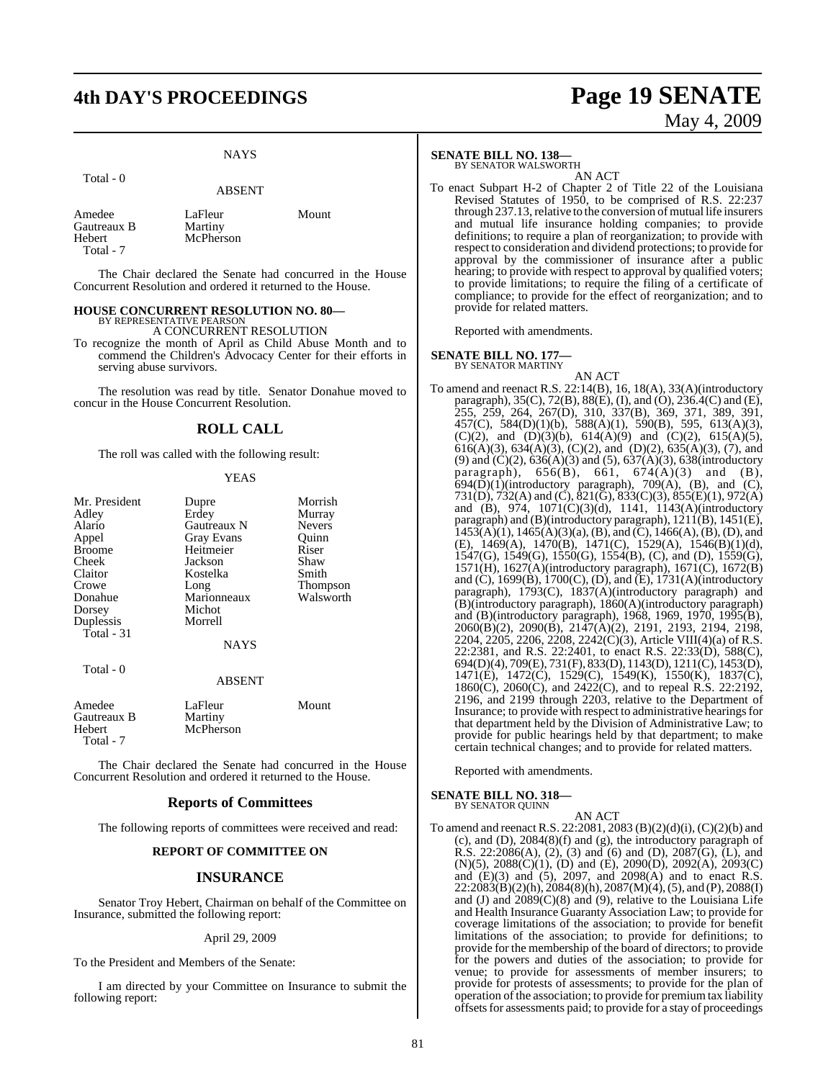# **4th DAY'S PROCEEDINGS Page 19 SENATE**

## **NAYS**

Total - 0

ABSENT

Amedee LaFleur Mount<br>Gautreaux B Martiny Gautreaux B<br>Hebert McPherson Total - 7

The Chair declared the Senate had concurred in the House Concurrent Resolution and ordered it returned to the House.

#### **HOUSE CONCURRENT RESOLUTION NO. 80—** BY REPRESENTATIVE PEARSON

A CONCURRENT RESOLUTION

To recognize the month of April as Child Abuse Month and to commend the Children's Advocacy Center for their efforts in serving abuse survivors.

The resolution was read by title. Senator Donahue moved to concur in the House Concurrent Resolution.

## **ROLL CALL**

The roll was called with the following result:

#### YEAS

| Mr. President<br>Adley | Dupre<br>Erdey    | Morrish<br>Murray |
|------------------------|-------------------|-------------------|
| Alario                 | Gautreaux N       | <b>Nevers</b>     |
| Appel                  | <b>Gray Evans</b> | Ouinn             |
| <b>Broome</b>          | Heitmeier         | Riser             |
| Cheek                  | Jackson           | Shaw              |
| Claitor                | Kostelka          | Smith             |
| Crowe                  | Long              | Thompson          |
| Donahue                | Marionneaux       | Walsworth         |
| Dorsey                 | Michot            |                   |
| Duplessis              | Morrell           |                   |
| Total - 31             |                   |                   |
|                        | <b>NAYS</b>       |                   |
| Total $-0$             |                   |                   |
|                        | <b>ABSENT</b>     |                   |
| Amedee                 | LaFleur           | Mount             |

Gautreaux B Martiny<br>
Hebert McPher McPherson Total - 7

The Chair declared the Senate had concurred in the House Concurrent Resolution and ordered it returned to the House.

#### **Reports of Committees**

The following reports of committees were received and read:

#### **REPORT OF COMMITTEE ON**

#### **INSURANCE**

Senator Troy Hebert, Chairman on behalf of the Committee on Insurance, submitted the following report:

#### April 29, 2009

To the President and Members of the Senate:

I am directed by your Committee on Insurance to submit the following report:

# **SENATE BILL NO. 138—** BY SENATOR WALSWORTH

AN ACT

To enact Subpart H-2 of Chapter 2 of Title 22 of the Louisiana Revised Statutes of 1950, to be comprised of R.S. 22:237 through  $237.13$ , relative to the conversion of mutual life insurers and mutual life insurance holding companies; to provide definitions; to require a plan of reorganization; to provide with respect to consideration and dividend protections; to provide for approval by the commissioner of insurance after a public hearing; to provide with respect to approval by qualified voters; to provide limitations; to require the filing of a certificate of compliance; to provide for the effect of reorganization; and to provide for related matters.

Reported with amendments.

#### **SENATE BILL NO. 177—**

BY SENATOR MARTINY

AN ACT To amend and reenact R.S. 22:14(B), 16, 18(A), 33(A)(introductory paragraph), 35(C), 72(B), 88(E), (I), and (O), 236.4(C) and (E), 255, 259, 264, 267(D), 310, 337(B), 369, 371, 389, 391, 457(C), 584(D)(1)(b), 588(A)(1), 590(B), 595, 613(A)(3), (C)(2), and (D)(3)(b),  $614(A)(9)$  and (C)(2),  $615(A)(5)$ ,  $616(A)(3)$ ,  $634(A)(3)$ ,  $(C)(2)$ , and  $(D)(2)$ ,  $635(A)(3)$ ,  $(7)$ , and (9) and  $(C)(2)$ ,  $636(A)(3)$  and  $(5)$ ,  $637(A)(3)$ ,  $638(introductor)$ paragraph), 656(B), 661, 674(A)(3) and (B),  $694(\overline{D})(1)$ (introductory paragraph), 709(A), (B), and (C), 731(D), 732(A) and (C), 821(G), 833(C)(3), 855(E)(1), 972(A) and (B), 974, 1071(C)(3)(d), 1141, 1143(A)(introductory paragraph) and (B)(introductory paragraph),  $1211(B)$ ,  $1451(E)$ ,  $1453(A)(1)$ ,  $1465(A)(3)(a)$ ,  $(B)$ ,  $\overline{and}$   $\overline{C}$ ,  $1466(A)$ ,  $\overline{B}$ ,  $\overline{CD}$ ,  $\overline{and}$ (E), 1469(A), 1470(B), 1471(C), 1529(A), 1546(B)(1)(d), 1547(G), 1549(G), 1550(G), 1554(B), (C), and (D), 1559(G), 1571(H), 1627(A)(introductory paragraph), 1671(C), 1672(B) and (C), 1699(B), 1700(C), (D), and (E), 1731(A)(introductory paragraph), 1793(C), 1837(A)(introductory paragraph) and (B)(introductory paragraph), 1860(A)(introductory paragraph) and (B)(introductory paragraph), 1968, 1969, 1970, 1995(B), 2060(B)(2), 2090(B), 2147(A)(2), 2191, 2193, 2194, 2198, 2204, 2205, 2206, 2208, 2242(C)(3), Article VIII(4)(a) of R.S. 22:2381, and R.S. 22:2401, to enact R.S. 22:33(D), 588(C), 694(D)(4), 709(E), 731(F), 833(D), 1143(D), 1211(C), 1453(D), 1471(E), 1472(C), 1529(C), 1549(K), 1550(K), 1837(C), 1860(C), 2060(C), and 2422(C), and to repeal R.S. 22:2192, 2196, and 2199 through 2203, relative to the Department of Insurance; to provide with respect to administrative hearings for that department held by the Division of Administrative Law; to provide for public hearings held by that department; to make certain technical changes; and to provide for related matters.

Reported with amendments.

#### **SENATE BILL NO. 318—** BY SENATOR QUINN

AN ACT

To amend and reenact R.S. 22:2081, 2083 (B)(2)(d)(i), (C)(2)(b) and (c), and (D), 2084(8)(f) and (g), the introductory paragraph of R.S. 22:2086(A), (2), (3) and (6) and (D), 2087(G), (L), and (N)(5), 2088(C)(1), (D) and (E), 2090(D), 2092(A), 2093(C) and (E)(3) and (5), 2097, and 2098(A) and to enact R.S. 22:2083(B)(2)(h), 2084(8)(h), 2087(M)(4), (5), and (P), 2088(I) and (J) and  $2089(C)(8)$  and (9), relative to the Louisiana Life and Health Insurance Guaranty Association Law; to provide for coverage limitations of the association; to provide for benefit limitations of the association; to provide for definitions; to provide for the membership of the board of directors; to provide for the powers and duties of the association; to provide for venue; to provide for assessments of member insurers; to provide for protests of assessments; to provide for the plan of operation of the association; to provide for premium tax liability offsetsfor assessments paid; to provide for a stay of proceedings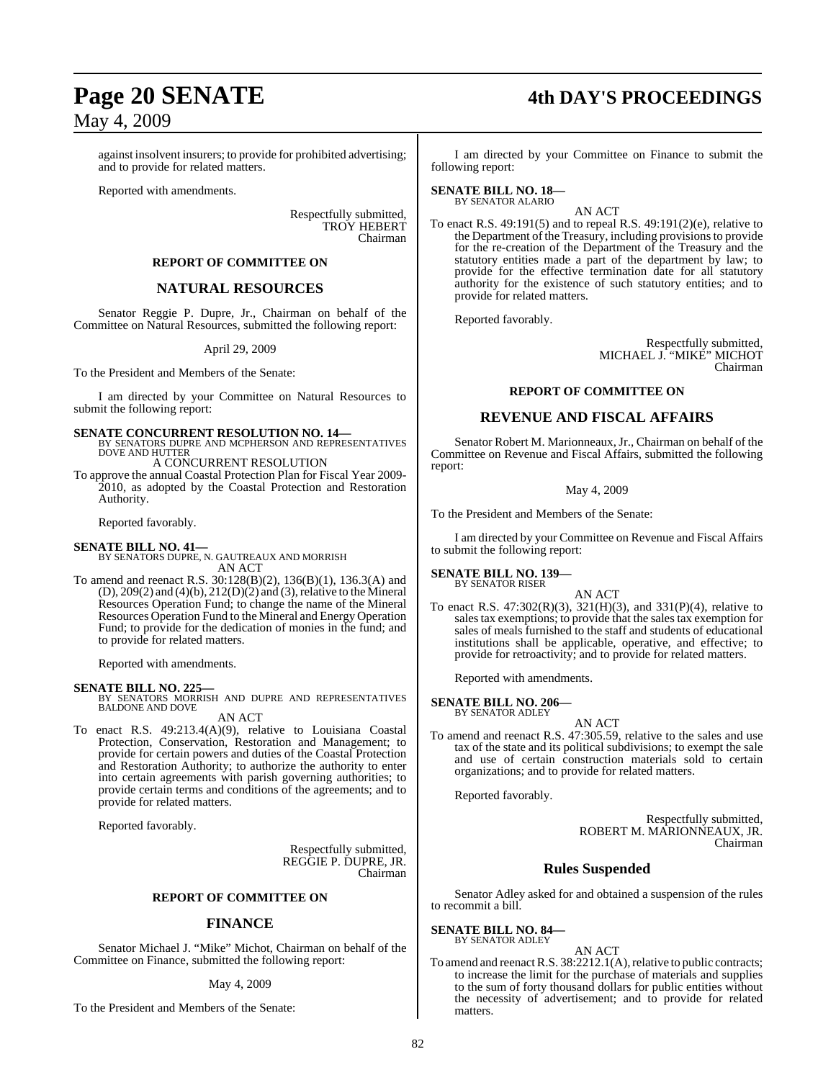against insolvent insurers; to provide for prohibited advertising; and to provide for related matters.

Reported with amendments.

Respectfully submitted, TROY HEBERT Chairman

#### **REPORT OF COMMITTEE ON**

## **NATURAL RESOURCES**

Senator Reggie P. Dupre, Jr., Chairman on behalf of the Committee on Natural Resources, submitted the following report:

#### April 29, 2009

To the President and Members of the Senate:

I am directed by your Committee on Natural Resources to submit the following report:

**SENATE CONCURRENT RESOLUTION NO. 14—BY SENATORS DUPRE AND MCPHERSON AND REPRESENTATIVES**<br>DOVE AND HUTTER

A CONCURRENT RESOLUTION

To approve the annual Coastal Protection Plan for Fiscal Year 2009- 2010, as adopted by the Coastal Protection and Restoration Authority.

Reported favorably.

#### **SENATE BILL NO. 41—**

BY SENATORS DUPRE, N. GAUTREAUX AND MORRISH AN ACT

To amend and reenact R.S. 30:128(B)(2), 136(B)(1), 136.3(A) and  $(D)$ , 209 $(2)$  and  $(4)(b)$ , 212 $(D)(2)$  and  $(3)$ , relative to the Mineral Resources Operation Fund; to change the name of the Mineral Resources Operation Fund to the Mineral and Energy Operation Fund; to provide for the dedication of monies in the fund; and to provide for related matters.

Reported with amendments.

#### **SENATE BILL NO. 225—**

BY SENATORS MORRISH AND DUPRE AND REPRESENTATIVES BALDONE AND DOVE

AN ACT

To enact R.S. 49:213.4(A)(9), relative to Louisiana Coastal Protection, Conservation, Restoration and Management; to provide for certain powers and duties of the Coastal Protection and Restoration Authority; to authorize the authority to enter into certain agreements with parish governing authorities; to provide certain terms and conditions of the agreements; and to provide for related matters.

Reported favorably.

Respectfully submitted, REGGIE P. DUPRE, JR. Chairman

#### **REPORT OF COMMITTEE ON**

#### **FINANCE**

Senator Michael J. "Mike" Michot, Chairman on behalf of the Committee on Finance, submitted the following report:

#### May 4, 2009

To the President and Members of the Senate:

# **Page 20 SENATE 4th DAY'S PROCEEDINGS**

I am directed by your Committee on Finance to submit the following report:

#### **SENATE BILL NO. 18—** BY SENATOR ALARIO

AN ACT To enact R.S. 49:191(5) and to repeal R.S. 49:191(2)(e), relative to the Department of the Treasury, including provisions to provide for the re-creation of the Department of the Treasury and the statutory entities made a part of the department by law; to provide for the effective termination date for all statutory authority for the existence of such statutory entities; and to provide for related matters.

Reported favorably.

Respectfully submitted, MICHAEL J. "MIKE" MICHOT Chairman

#### **REPORT OF COMMITTEE ON**

### **REVENUE AND FISCAL AFFAIRS**

Senator Robert M. Marionneaux, Jr., Chairman on behalf of the Committee on Revenue and Fiscal Affairs, submitted the following report:

May 4, 2009

To the President and Members of the Senate:

I am directed by your Committee on Revenue and Fiscal Affairs to submit the following report:

#### **SENATE BILL NO. 139—** BY SENATOR RISER

- AN ACT
- To enact R.S. 47:302(R)(3), 321(H)(3), and 331(P)(4), relative to salestax exemptions; to provide that the sales tax exemption for sales of meals furnished to the staff and students of educational institutions shall be applicable, operative, and effective; to provide for retroactivity; and to provide for related matters.

Reported with amendments.

#### **SENATE BILL NO. 206—** BY SENATOR ADLEY

AN ACT To amend and reenact R.S. 47:305.59, relative to the sales and use tax of the state and its political subdivisions; to exempt the sale and use of certain construction materials sold to certain organizations; and to provide for related matters.

Reported favorably.

Respectfully submitted, ROBERT M. MARIONNEAUX, JR. Chairman

#### **Rules Suspended**

Senator Adley asked for and obtained a suspension of the rules to recommit a bill.

**SENATE BILL NO. 84—** BY SENATOR ADLEY

AN ACT

To amend and reenact R.S. 38:2212.1(A), relative to public contracts; to increase the limit for the purchase of materials and supplies to the sum of forty thousand dollars for public entities without the necessity of advertisement; and to provide for related matters.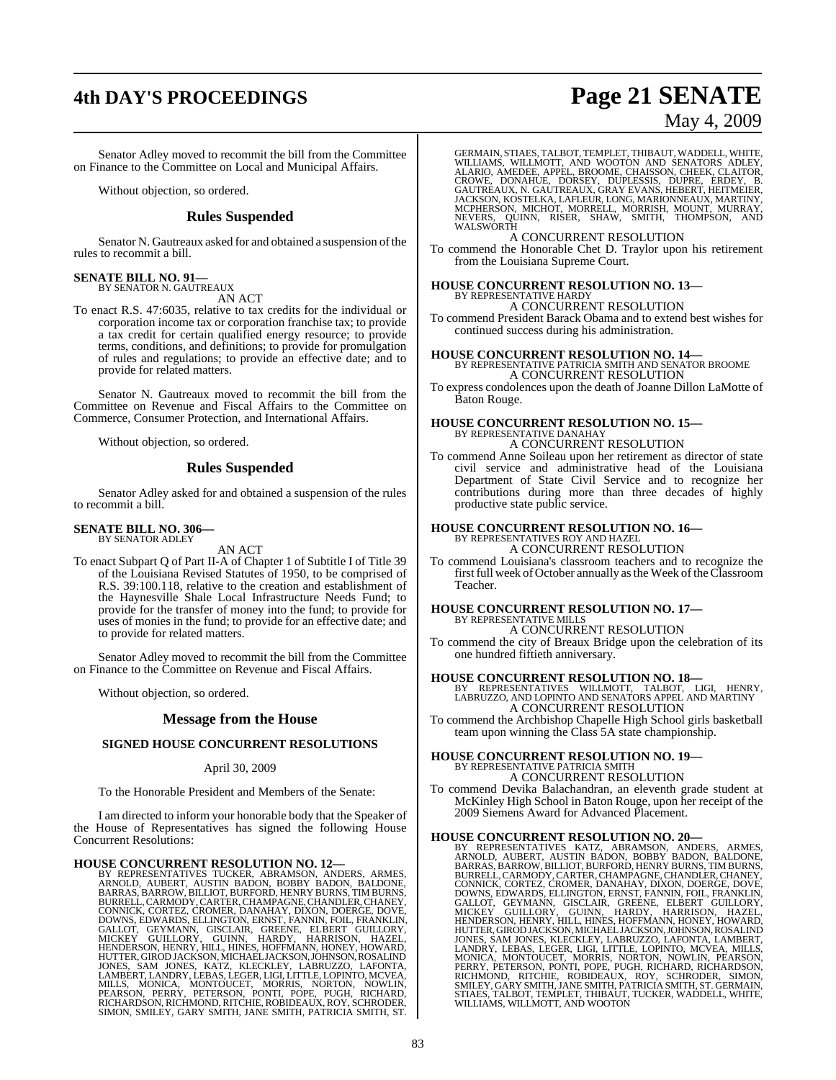# **4th DAY'S PROCEEDINGS Page 21 SENATE**

May 4, 2009

Senator Adley moved to recommit the bill from the Committee on Finance to the Committee on Local and Municipal Affairs.

Without objection, so ordered.

#### **Rules Suspended**

Senator N. Gautreaux asked for and obtained a suspension of the rules to recommit a bill.

#### **SENATE BILL NO. 91—**

BY SENATOR N. GAUTREAUX AN ACT

To enact R.S. 47:6035, relative to tax credits for the individual or corporation income tax or corporation franchise tax; to provide a tax credit for certain qualified energy resource; to provide terms, conditions, and definitions; to provide for promulgation of rules and regulations; to provide an effective date; and to provide for related matters.

Senator N. Gautreaux moved to recommit the bill from the Committee on Revenue and Fiscal Affairs to the Committee on Commerce, Consumer Protection, and International Affairs.

Without objection, so ordered.

#### **Rules Suspended**

Senator Adley asked for and obtained a suspension of the rules to recommit a bill.

#### **SENATE BILL NO. 306—** BY SENATOR ADLEY

AN ACT

To enact Subpart Q of Part II-A of Chapter 1 of Subtitle I of Title 39 of the Louisiana Revised Statutes of 1950, to be comprised of R.S. 39:100.118, relative to the creation and establishment of the Haynesville Shale Local Infrastructure Needs Fund; to provide for the transfer of money into the fund; to provide for uses of monies in the fund; to provide for an effective date; and to provide for related matters.

Senator Adley moved to recommit the bill from the Committee on Finance to the Committee on Revenue and Fiscal Affairs.

Without objection, so ordered.

#### **Message from the House**

#### **SIGNED HOUSE CONCURRENT RESOLUTIONS**

#### April 30, 2009

To the Honorable President and Members of the Senate:

I am directed to inform your honorable body that the Speaker of the House of Representatives has signed the following House Concurrent Resolutions:

HOUSE CONCURRENT RESOLUTION NO. 12—<br>BY REPRESENTATIVES TUCKER, ABRAMSON, ANDERS, ARMES,<br>ARNOLD, AUBERT, AUSTIN BADON, BOBBY BADON, BALDONE,<br>BARRAS, BARROW, BILLIOT, BURFORD, HENRY BURNS, TIM BURNS,<br>BURRELL, CARMODY, CARTER HUTTER, GIROD JACKSON, MICHAEL JACKSON, JOHNSON, ROSALIND<br>JONES, SAM JONES, KATZ, KLECKLEY, LABRUZZO, LAFONTA,<br>LAMBERT, LANDRY, LEBAS, LEGER, LIGI, LITTLE, LOPINTO, MCVEA,<br>MILLS, MONICA, MONTOUCET, MORRIS, NORTON, NOWLIN,<br>

GERMAIN, STIAES, TALBOT, TEMPLET, THIBAUT, WADDELL, WHITE, WILLIAMS, WILLMOTT, AND WOOTON AND SENATORS ADLEY,<br>MLLIAMS, WILLMOTT, AND WOOTON AND SENATORS ADLEY,<br>CROWE, DONAHUE, DORSEY, DUPLESSIS, DUPRE, ERDEY, B.<br>GAUTREAUX,

A CONCURRENT RESOLUTION

To commend the Honorable Chet D. Traylor upon his retirement from the Louisiana Supreme Court.

## **HOUSE CONCURRENT RESOLUTION NO. 13—** BY REPRESENTATIVE HARDY A CONCURRENT RESOLUTION

To commend President Barack Obama and to extend best wishes for continued success during his administration.

## **HOUSE CONCURRENT RESOLUTION NO. 14—** BY REPRESENTATIVE PATRICIA SMITH AND SENATOR BROOME A CONCURRENT RESOLUTION

To express condolences upon the death of Joanne Dillon LaMotte of Baton Rouge.

#### **HOUSE CONCURRENT RESOLUTION NO. 15—** BY REPRESENTATIVE DANAHAY A CONCURRENT RESOLUTION

To commend Anne Soileau upon her retirement as director of state civil service and administrative head of the Louisiana Department of State Civil Service and to recognize her contributions during more than three decades of highly productive state public service.

# **HOUSE CONCURRENT RESOLUTION NO. 16—** BY REPRESENTATIVES ROY AND HAZEL A CONCURRENT RESOLUTION

To commend Louisiana's classroom teachers and to recognize the first full week of October annually as the Week of the Classroom Teacher.

# **HOUSE CONCURRENT RESOLUTION NO. 17—** BY REPRESENTATIVE MILLS

A CONCURRENT RESOLUTION

To commend the city of Breaux Bridge upon the celebration of its one hundred fiftieth anniversary.

**HOUSE CONCURRENT RESOLUTION NO. 18—** BY REPRESENTATIVES WILLMOTT, TALBOT, LIGI, HENRY, LABRUZZO, AND LOPINTO AND SENATORS APPEL AND MARTINY A CONCURRENT RESOLUTION

To commend the Archbishop Chapelle High School girls basketball team upon winning the Class 5A state championship.

# **HOUSE CONCURRENT RESOLUTION NO. 19—** BY REPRESENTATIVE PATRICIA SMITH

A CONCURRENT RESOLUTION

To commend Devika Balachandran, an eleventh grade student at McKinley High School in Baton Rouge, upon her receipt of the 2009 Siemens Award for Advanced Placement.

HOUSE CONCURRENT RESOLUTION NO. 20—<br>BY REPRESENTATIVES KATZ, ABRAMSON, ANDERS, ARMES,<br>ARNOLD, AUBERT AUSTIN BADON, BOBBY BADON, BALDONE,<br>BARRAS, BARROW, BILLIOT, BURFORD, HENRY BURNS, TIM BURNS,<br>BURRELL, CARMODY, CARTER, C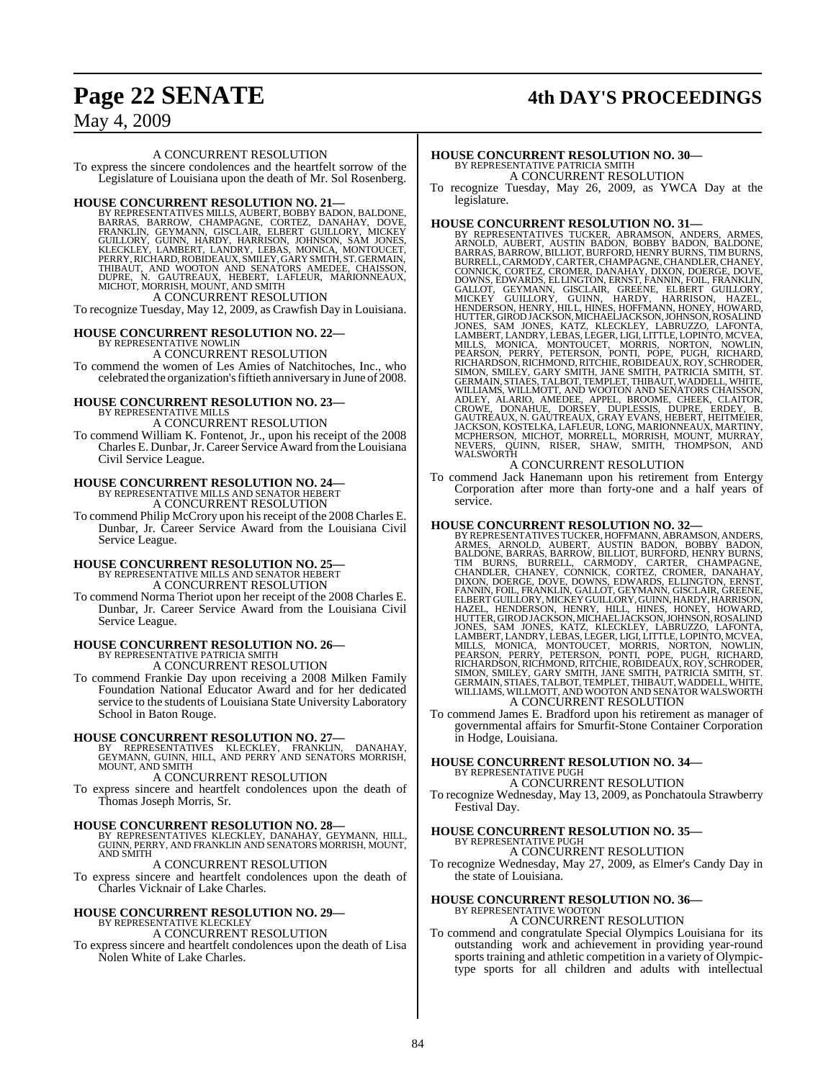# **Page 22 SENATE 4th DAY'S PROCEEDINGS**

May 4, 2009

#### A CONCURRENT RESOLUTION

To express the sincere condolences and the heartfelt sorrow of the Legislature of Louisiana upon the death of Mr. Sol Rosenberg.

#### **HOUSE CONCURRENT RESOLUTION NO. 21—**

BY REPRESENTATIVES MILLS, AUBERT, BOBBY BADON, BALDONE, BARRAS, BARROW, CHAMPAGNE, CORTEZ, DANAHAY, DOVE, FRANKLIN, GEYMANN, GISCLAIR, ELBERT GUILLORY, MICKEY<br>GUILLORY, GUINN, HARDY, HARRISON, JOHNSON, SAM JONES,<br>GUILLORY, A CONCURRENT RESOLUTION

To recognize Tuesday, May 12, 2009, as Crawfish Day in Louisiana.

**HOUSE CONCURRENT RESOLUTION NO. 22—** BY REPRESENTATIVE NOWLIN

A CONCURRENT RESOLUTION

To commend the women of Les Amies of Natchitoches, Inc., who celebrated the organization'sfiftieth anniversary in June of 2008.

#### **HOUSE CONCURRENT RESOLUTION NO. 23—**

BY REPRESENTATIVE MILLS A CONCURRENT RESOLUTION

To commend William K. Fontenot, Jr., upon his receipt of the 2008 Charles E. Dunbar,Jr.Career Service Award fromthe Louisiana Civil Service League.

# **HOUSE CONCURRENT RESOLUTION NO. 24—** BY REPRESENTATIVE MILLS AND SENATOR HEBERT

A CONCURRENT RESOLUTION

To commend Philip McCrory upon hisreceipt of the 2008 Charles E. Dunbar, Jr. Career Service Award from the Louisiana Civil Service League.

## **HOUSE CONCURRENT RESOLUTION NO. 25—** BY REPRESENTATIVE MILLS AND SENATOR HEBERT A CONCURRENT RESOLUTION

To commend Norma Theriot upon her receipt of the 2008 Charles E. Dunbar, Jr. Career Service Award from the Louisiana Civil Service League.

## **HOUSE CONCURRENT RESOLUTION NO. 26—** BY REPRESENTATIVE PATRICIA SMITH A CONCURRENT RESOLUTION

To commend Frankie Day upon receiving a 2008 Milken Family Foundation National Educator Award and for her dedicated service to the students of Louisiana State University Laboratory

School in Baton Rouge.

**HOUSE CONCURRENT RESOLUTION NO. 27—**<br>BY REPRESENTATIVES KLECKLEY, FRANKLIN, DANAHAY,<br>GEYMANN, GUINN, HILL, AND PERRY AND SENATORS MORRISH,<br>MOUNT, AND SMITH

A CONCURRENT RESOLUTION

To express sincere and heartfelt condolences upon the death of Thomas Joseph Morris, Sr.

**HOUSE CONCURRENT RESOLUTION NO. 28—**<br>BY REPRESENTATIVES KLECKLEY, DANAHAY, GEYMANN, HILL,<br>GUINN, PERRY, AND FRANKLIN AND SENATORS MORRISH, MOUNT,<br>AND SMITH

### A CONCURRENT RESOLUTION

To express sincere and heartfelt condolences upon the death of Charles Vicknair of Lake Charles.

# **HOUSE CONCURRENT RESOLUTION NO. 29—** BY REPRESENTATIVE KLECKLEY

#### A CONCURRENT RESOLUTION

To express sincere and heartfelt condolences upon the death of Lisa Nolen White of Lake Charles.

# **HOUSE CONCURRENT RESOLUTION NO. 30—** BY REPRESENTATIVE PATRICIA SMITH

A CONCURRENT RESOLUTION

To recognize Tuesday, May 26, 2009, as YWCA Day at the legislature.

**HOUSE CONCURRENT RESOLUTION NO. 31—**<br>BY REPRESENTATIVES TUCKER, ABRAMSON, ANDERS, ARMES,<br>ARNOLD, AUBERT, AUSTIN BADON, BOBBY BADON, BALDONE,<br>BARRAS, BARROW, BILLIOT, BURFORD, HENRY BURNS, TIM BURNS, BURRELL, CARMODY, CARTER, CHAMPAGNE, CHANDLER, CHANEY, CONNICK, CORTEZ, CROMER, DANAHAY, DIXON, DOERGE, DOVE, DOWNS, EDWARDS, ELLINGTON, ERNST, FANNIN, FOIL, FRANKIN, GALLOT, GEYMANN, GISCLAIR, GREENE, ELBERT GUILLORY, MIC

To commend Jack Hanemann upon his retirement from Entergy Corporation after more than forty-one and a half years of service.

HOUSE CONCURRENT RESOLUTION NO. 32—<br>BY REPRESENTATIVES TUCKER, HOFFMANN, ABRAMSON, ANDERS, ARNES, ARNOLD, AUBERT, AUSTIN BADON, BOBBY BADON,<br>BALDONE, BARRAS, BARROW, BILLIOT, BURFORD, HENRY BURNS, TIM BURNS, BURRELL, CARMO

To commend James E. Bradford upon his retirement as manager of governmental affairs for Smurfit-Stone Container Corporation in Hodge, Louisiana.

#### **HOUSE CONCURRENT RESOLUTION NO. 34—** BY REPRESENTATIVE PUGH

A CONCURRENT RESOLUTION

To recognize Wednesday, May 13, 2009, as Ponchatoula Strawberry Festival Day.

# **HOUSE CONCURRENT RESOLUTION NO. 35—** BY REPRESENTATIVE PUGH

A CONCURRENT RESOLUTION

To recognize Wednesday, May 27, 2009, as Elmer's Candy Day in the state of Louisiana.

#### **HOUSE CONCURRENT RESOLUTION NO. 36—** BY REPRESENTATIVE WOOTON

#### A CONCURRENT RESOLUTION

To commend and congratulate Special Olympics Louisiana for its outstanding work and achievement in providing year-round sports training and athletic competition in a variety of Olympictype sports for all children and adults with intellectual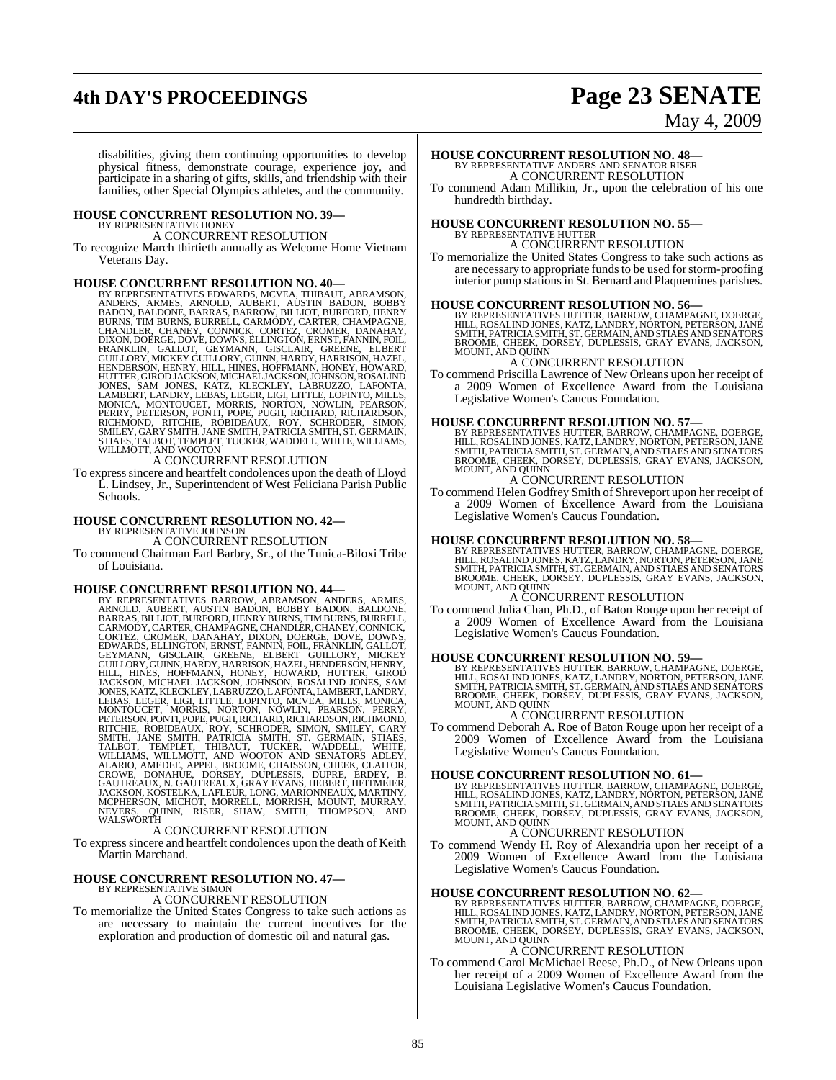# **4th DAY'S PROCEEDINGS Page 23 SENATE**

# May 4, 2009

disabilities, giving them continuing opportunities to develop physical fitness, demonstrate courage, experience joy, and participate in a sharing of gifts, skills, and friendship with their families, other Special Olympics athletes, and the community.

#### **HOUSE CONCURRENT RESOLUTION NO. 39—**

BY REPRESENTATIVE HONEY A CONCURRENT RESOLUTION

To recognize March thirtieth annually as Welcome Home Vietnam Veterans Day.

HOUSE CONCURRENT RESOLUTION NO. 40—<br>BY REPRESENTATIVES EDWARDS, MCVEA, THIBAUT, ABRAMSON, ANDERS, ARMES, ARNOLD, AUBERT, AUSTIN BADON, BOBBY<br>BADON, BALDONE, BARRAS, BARROW, BILLIOT, BURFORD, HENRY<br>BURNS, TIM BURNS, BURRELL

To expresssincere and heartfelt condolences upon the death of Lloyd L. Lindsey, Jr., Superintendent of West Feliciana Parish Public Schools.

# **HOUSE CONCURRENT RESOLUTION NO. 42—** BY REPRESENTATIVE JOHNSON

A CONCURRENT RESOLUTION

To commend Chairman Earl Barbry, Sr., of the Tunica-Biloxi Tribe of Louisiana.

**HOUSE CONCURRENT RESOLUTION NO. 44—** BY REPRESENTATIVES BARROW, ABRAMSON, ANDERS, ARMES, ARNOLD, AUBERT, AUSTIN BADON, BOBBY BADON, BALDONE, BARRAS, BILLIOT, BURFORD, HENRY BURNS, TIM BURNS, BURRELL, CARMODY,CARTER,CHAMPAGNE, CHANDLER, CHANEY, CONNICK, CORTEZ, CROMER, DANAHAY, DIXON, DOERGE, DOVE, DOWNS, EDWARDS, ELLINGTON, ERNST, FANNIN, FOIL, FRANKLIN, GALLOT, GEYMANN, GISCLAIR, GREENE, ELBERT GUILLORY, MICKEY GUILLORY, GUINN, HARDY, HARRISON, HAZEL, HENDERSON, HENRY, HILL, HINES, HOFFMANN, HONEY, HOWARD, HUTTER, GIROD JACKSON, MICHAEL JACKSON, JOHNSON, ROSALIND JONES, SAM JONES, KATZ, KLECKLEY, LABRUZZO, LAFONTA, LAMBERT, LANDRY, LEBAS, LEGER, LIGI, LITTLE, LOPINTO, MCVEA, MILLS, MONICA, MONTOUCET, MORRIS, NORTON, NOWLIN, PEARSON, PERRY, PETERSON, PONTI, POPE, PUGH, RICHARD, RICHARDSON, RICHMOND, RITCHIE, ROBIDEAUX, ROY, SCHRODER, SIMON, SMILEY, GARY SMITH, JANE SMITH, PATRICIA SMITH, ST. GERMAIN, STIAES, TALBOT, TEMPLET, THIBAUT, TUCKER, WADDELL, WHITE, WILLIAMS, WILLMOTT, AND WOOTON AND SENATORS ADLEY, ALARIO, AMEDEE, APPEL, BROOME, CHAISSON, CHEEK, CLAITOR, CROWE, DONAHUE, DORSEY, DUPLESSIS, DUPRE, ERDEY, B. GAUTREAUX, N. GAUTREAUX, GRAY EVANS, HEBERT, HEITMEIER, JACKSON, KOSTELKA, LAFLEUR, LONG, MARIONNEAUX, MARTINY, MCPHERSON, MICHOT, MORRELL, MORRISH, MOUNT, MURRAY, NEVERS, QUINN, RISER, SHAW, SMITH, THOMPSON, AND WALSWORTH A CONCURRENT RESOLUTION

To express sincere and heartfelt condolences upon the death of Keith Martin Marchand.

## **HOUSE CONCURRENT RESOLUTION NO. 47—** BY REPRESENTATIVE SIMON

## A CONCURRENT RESOLUTION

To memorialize the United States Congress to take such actions as are necessary to maintain the current incentives for the exploration and production of domestic oil and natural gas.

## **HOUSE CONCURRENT RESOLUTION NO. 48—** BY REPRESENTATIVE ANDERS AND SENATOR RISER A CONCURRENT RESOLUTION

To commend Adam Millikin, Jr., upon the celebration of his one hundredth birthday.

# **HOUSE CONCURRENT RESOLUTION NO. 55—** BY REPRESENTATIVE HUTTER

#### A CONCURRENT RESOLUTION

To memorialize the United States Congress to take such actions as are necessary to appropriate funds to be used for storm-proofing interior pump stations in St. Bernard and Plaquemines parishes.

**HOUSE CONCURRENT RESOLUTION NO. 56—BY REPRESENTATIVES HUTTER, BARROW, CHAMPAGNE, DOERGE, BY REPRESENTATIVES HUTTER, BARROW, CHAMPAGNE, DOERGE, AND STILE, ROSALIND JONES, KATZ, LANDRY, NORTON, PETERSON, JANE SMITH, PATRICI** MOUNT, AND QUINN

#### A CONCURRENT RESOLUTION

To commend Priscilla Lawrence of New Orleans upon her receipt of a 2009 Women of Excellence Award from the Louisiana Legislative Women's Caucus Foundation.

**HOUSE CONCURRENT RESOLUTION NO. 57—BY REPRESENTATIVES HUTTER, BARROW, CHAMPAGNE, DOERGE, HILL, ROSALIND JONES, KATZ, LANDRY, NORTON, PETERSON, JANE SMITH, PATRICIA SMITH, ST. GERMAIN, AND STIAES AND SENATH, STROOME, CHEEK** 

## A CONCURRENT RESOLUTION

To commend Helen Godfrey Smith of Shreveport upon her receipt of a 2009 Women of Excellence Award from the Louisiana Legislative Women's Caucus Foundation.

#### **HOUSE CONCURRENT RESOLUTION NO. 58—**

BY REPRESENTATIVES HUTTER, BARROW, CHAMPAGNE, DOERGE,<br>HILL, ROSALIND JONES, KATZ, LANDRY, NORTON, PETERSON, JANE<br>SMITH, PATRICIA SMITH, ST. GERMAIN, AND STIAES AND SENATORS BROOME, CHEEK, DORSEY, DUPLESSIS, GRAY EVANS, JACKSON, MOUNT, AND QUINN

#### A CONCURRENT RESOLUTION

To commend Julia Chan, Ph.D., of Baton Rouge upon her receipt of a 2009 Women of Excellence Award from the Louisiana Legislative Women's Caucus Foundation.

#### **HOUSE CONCURRENT RESOLUTION NO. 59—**

BY REPRESENTATIVES HUTTER, BARROW, CHAMPAGNE, DOERGE,<br>HILL, ROSALIND JONES, KATZ, LANDRY, NORTON, PETERSON, JANE<br>SMITH, PATRICIA SMITH, ST. GERMAIN, AND STIAES AND SENATORS<br>BROOME, CHEEK, DORSEY, DUPLESSIS, GRAY EVANS, JAC MOUNT, AND QUINN

#### A CONCURRENT RESOLUTION

To commend Deborah A. Roe of Baton Rouge upon her receipt of a 2009 Women of Excellence Award from the Louisiana Legislative Women's Caucus Foundation.

#### **HOUSE CONCURRENT RESOLUTION NO. 61—**

BY REPRESENTATIVES HUTTER, BARROW, CHAMPAGNE, DOERGE,<br>HILL, ROSALIND JONES, KATZ, LANDRY, NORTON, PETERSON, JANE<br>SMITH, PATRICIA SMITH, ST. GERMAIN, AND STIAES AND SENATORS<br>BROOME, CHEEK, DORSEY, DUPLESSIS, GRAY EVANS, JAC

### A CONCURRENT RESOLUTION

To commend Wendy H. Roy of Alexandria upon her receipt of a 2009 Women of Excellence Award from the Louisiana Legislative Women's Caucus Foundation.

#### **HOUSE CONCURRENT RESOLUTION NO. 62—**

BY REPRESENTATIVES HUTTER, BARROW, CHAMPAGNE, DOERGE,<br>HILL, ROSALIND JONES, KATZ, LANDRY, NORTON, PETERSON, JANE<br>SMITH, PATRICIA SMITH, ST. GERMAIN, AND STIAES AND SENATORS<br>BROOME, CHEEK, DORSEY, DUPLESSIS, GRAY EVANS, JAC

#### A CONCURRENT RESOLUTION

To commend Carol McMichael Reese, Ph.D., of New Orleans upon her receipt of a 2009 Women of Excellence Award from the Louisiana Legislative Women's Caucus Foundation.